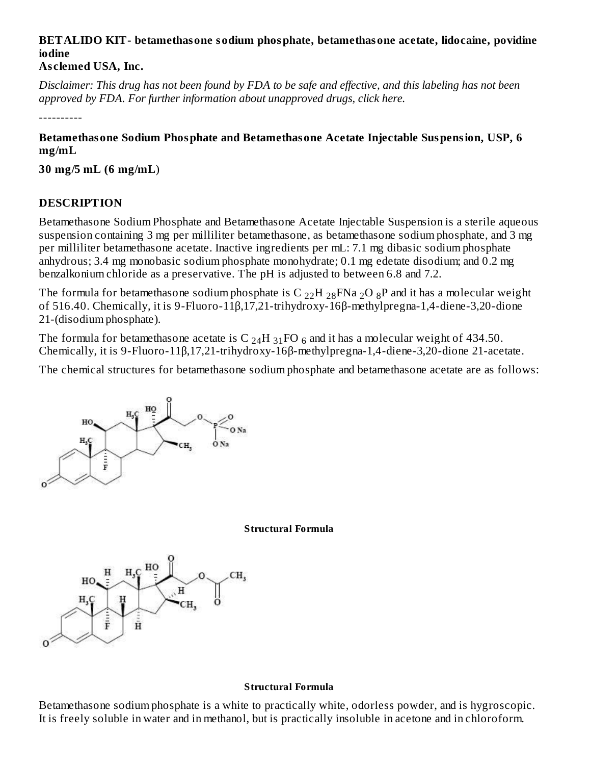# **BETALIDO KIT- betamethasone sodium phosphate, betamethasone acetate, lidocaine, povidine iodine**

# **As clemed USA, Inc.**

Disclaimer: This drug has not been found by FDA to be safe and effective, and this labeling has not been *approved by FDA. For further information about unapproved drugs, click here.*

----------

**Betamethasone Sodium Phosphate and Betamethasone Acetate Injectable Suspension, USP, 6 mg/mL**

# **30 mg/5 mL (6 mg/mL**)

# **DESCRIPTION**

Betamethasone Sodium Phosphate and Betamethasone Acetate Injectable Suspension is a sterile aqueous suspension containing 3 mg per milliliter betamethasone, as betamethasone sodium phosphate, and 3 mg per milliliter betamethasone acetate. Inactive ingredients per mL: 7.1 mg dibasic sodium phosphate anhydrous; 3.4 mg monobasic sodium phosphate monohydrate; 0.1 mg edetate disodium; and 0.2 mg benzalkonium chloride as a preservative. The pH is adjusted to between 6.8 and 7.2.

The formula for betamethasone sodium phosphate is C  $_{22}$ H  $_{28}$ FNa  $_{2}$ O  $_{8}$ P and it has a molecular weight of 516.40. Chemically, it is 9-Fluoro-11β,17,21-trihydroxy-16β-methylpregna-1,4-diene-3,20-dione 21-(disodium phosphate).

The formula for betamethasone acetate is C  $_{24}$ H  $_{31}$ FO  $_6$  and it has a molecular weight of 434.50. Chemically, it is 9-Fluoro-11β,17,21-trihydroxy-16β-methylpregna-1,4-diene-3,20-dione 21-acetate.

The chemical structures for betamethasone sodium phosphate and betamethasone acetate are as follows:



#### **Structural Formula**



#### **Structural Formula**

Betamethasone sodium phosphate is a white to practically white, odorless powder, and is hygroscopic. It is freely soluble in water and in methanol, but is practically insoluble in acetone and in chloroform.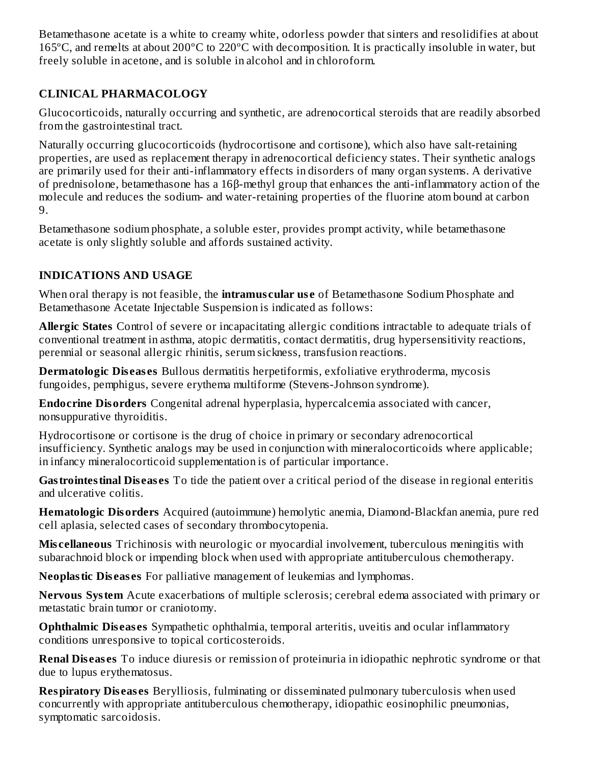Betamethasone acetate is a white to creamy white, odorless powder that sinters and resolidifies at about 165ºC, and remelts at about 200ºC to 220ºC with decomposition. It is practically insoluble in water, but freely soluble in acetone, and is soluble in alcohol and in chloroform.

# **CLINICAL PHARMACOLOGY**

Glucocorticoids, naturally occurring and synthetic, are adrenocortical steroids that are readily absorbed from the gastrointestinal tract.

Naturally occurring glucocorticoids (hydrocortisone and cortisone), which also have salt-retaining properties, are used as replacement therapy in adrenocortical deficiency states. Their synthetic analogs are primarily used for their anti-inflammatory effects in disorders of many organ systems. A derivative of prednisolone, betamethasone has a 16β-methyl group that enhances the anti-inflammatory action of the molecule and reduces the sodium- and water-retaining properties of the fluorine atom bound at carbon 9.

Betamethasone sodium phosphate, a soluble ester, provides prompt activity, while betamethasone acetate is only slightly soluble and affords sustained activity.

# **INDICATIONS AND USAGE**

When oral therapy is not feasible, the **intramus cular us e** of Betamethasone Sodium Phosphate and Betamethasone Acetate Injectable Suspension is indicated as follows:

**Allergic States** Control of severe or incapacitating allergic conditions intractable to adequate trials of conventional treatment in asthma, atopic dermatitis, contact dermatitis, drug hypersensitivity reactions, perennial or seasonal allergic rhinitis, serum sickness, transfusion reactions.

**Dermatologic Dis eas es** Bullous dermatitis herpetiformis, exfoliative erythroderma, mycosis fungoides, pemphigus, severe erythema multiforme (Stevens-Johnson syndrome).

**Endocrine Disorders** Congenital adrenal hyperplasia, hypercalcemia associated with cancer, nonsuppurative thyroiditis.

Hydrocortisone or cortisone is the drug of choice in primary or secondary adrenocortical insufficiency. Synthetic analogs may be used in conjunction with mineralocorticoids where applicable; in infancy mineralocorticoid supplementation is of particular importance.

**Gastrointestinal Dis eas es** To tide the patient over a critical period of the disease in regional enteritis and ulcerative colitis.

**Hematologic Disorders** Acquired (autoimmune) hemolytic anemia, Diamond-Blackfan anemia, pure red cell aplasia, selected cases of secondary thrombocytopenia.

**Mis cellaneous** Trichinosis with neurologic or myocardial involvement, tuberculous meningitis with subarachnoid block or impending block when used with appropriate antituberculous chemotherapy.

**Neoplastic Dis eas es** For palliative management of leukemias and lymphomas.

**Nervous System** Acute exacerbations of multiple sclerosis; cerebral edema associated with primary or metastatic brain tumor or craniotomy.

**Ophthalmic Dis eas es** Sympathetic ophthalmia, temporal arteritis, uveitis and ocular inflammatory conditions unresponsive to topical corticosteroids.

**Renal Dis eas es** To induce diuresis or remission of proteinuria in idiopathic nephrotic syndrome or that due to lupus erythematosus.

**Respiratory Dis eas es** Berylliosis, fulminating or disseminated pulmonary tuberculosis when used concurrently with appropriate antituberculous chemotherapy, idiopathic eosinophilic pneumonias, symptomatic sarcoidosis.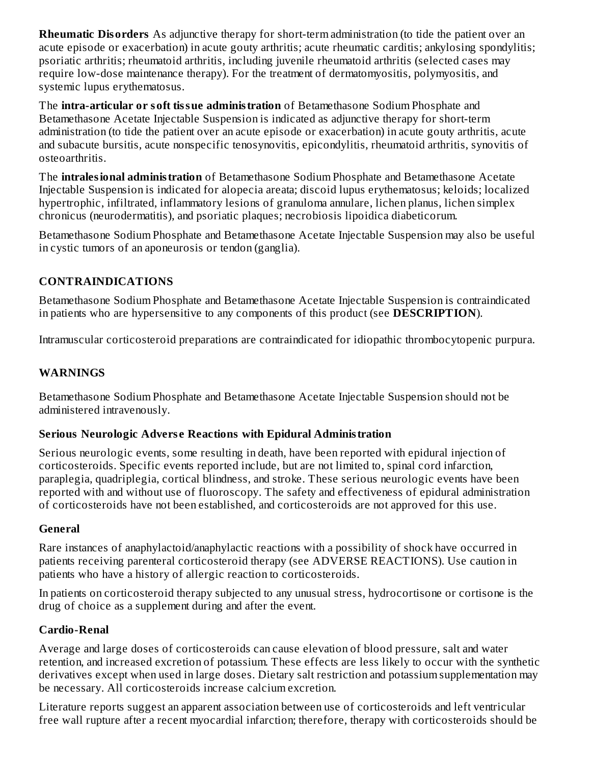**Rheumatic Disorders** As adjunctive therapy for short-term administration (to tide the patient over an acute episode or exacerbation) in acute gouty arthritis; acute rheumatic carditis; ankylosing spondylitis; psoriatic arthritis; rheumatoid arthritis, including juvenile rheumatoid arthritis (selected cases may require low-dose maintenance therapy). For the treatment of dermatomyositis, polymyositis, and systemic lupus erythematosus.

The **intra-articular or soft tissue administration** of Betamethasone Sodium Phosphate and Betamethasone Acetate Injectable Suspension is indicated as adjunctive therapy for short-term administration (to tide the patient over an acute episode or exacerbation) in acute gouty arthritis, acute and subacute bursitis, acute nonspecific tenosynovitis, epicondylitis, rheumatoid arthritis, synovitis of osteoarthritis.

The **intralesional administration** of Betamethasone Sodium Phosphate and Betamethasone Acetate Injectable Suspension is indicated for alopecia areata; discoid lupus erythematosus; keloids; localized hypertrophic, infiltrated, inflammatory lesions of granuloma annulare, lichen planus, lichen simplex chronicus (neurodermatitis), and psoriatic plaques; necrobiosis lipoidica diabeticorum.

Betamethasone Sodium Phosphate and Betamethasone Acetate Injectable Suspension may also be useful in cystic tumors of an aponeurosis or tendon (ganglia).

# **CONTRAINDICATIONS**

Betamethasone Sodium Phosphate and Betamethasone Acetate Injectable Suspension is contraindicated in patients who are hypersensitive to any components of this product (see **DESCRIPTION**).

Intramuscular corticosteroid preparations are contraindicated for idiopathic thrombocytopenic purpura.

### **WARNINGS**

Betamethasone Sodium Phosphate and Betamethasone Acetate Injectable Suspension should not be administered intravenously.

# **Serious Neurologic Advers e Reactions with Epidural Administration**

Serious neurologic events, some resulting in death, have been reported with epidural injection of corticosteroids. Specific events reported include, but are not limited to, spinal cord infarction, paraplegia, quadriplegia, cortical blindness, and stroke. These serious neurologic events have been reported with and without use of fluoroscopy. The safety and effectiveness of epidural administration of corticosteroids have not been established, and corticosteroids are not approved for this use.

# **General**

Rare instances of anaphylactoid/anaphylactic reactions with a possibility of shock have occurred in patients receiving parenteral corticosteroid therapy (see ADVERSE REACTIONS). Use caution in patients who have a history of allergic reaction to corticosteroids.

In patients on corticosteroid therapy subjected to any unusual stress, hydrocortisone or cortisone is the drug of choice as a supplement during and after the event.

# **Cardio-Renal**

Average and large doses of corticosteroids can cause elevation of blood pressure, salt and water retention, and increased excretion of potassium. These effects are less likely to occur with the synthetic derivatives except when used in large doses. Dietary salt restriction and potassium supplementation may be necessary. All corticosteroids increase calcium excretion.

Literature reports suggest an apparent association between use of corticosteroids and left ventricular free wall rupture after a recent myocardial infarction; therefore, therapy with corticosteroids should be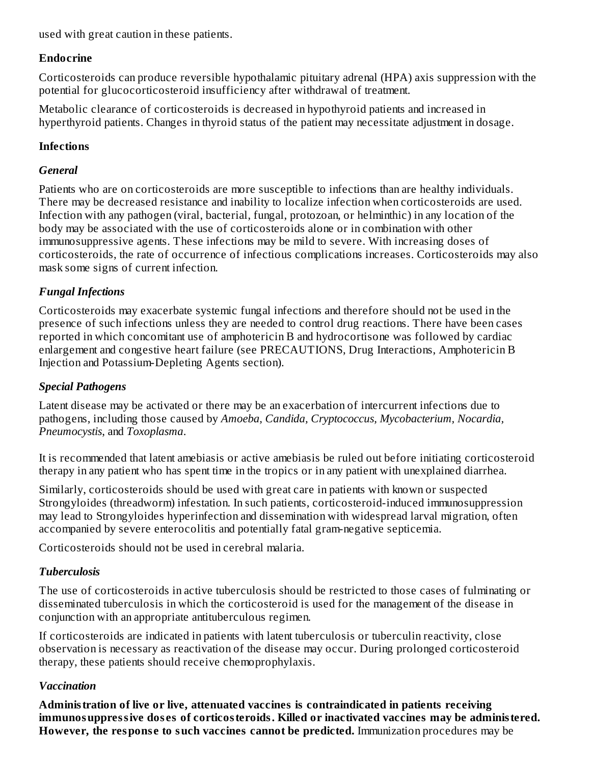used with great caution in these patients.

# **Endocrine**

Corticosteroids can produce reversible hypothalamic pituitary adrenal (HPA) axis suppression with the potential for glucocorticosteroid insufficiency after withdrawal of treatment.

Metabolic clearance of corticosteroids is decreased in hypothyroid patients and increased in hyperthyroid patients. Changes in thyroid status of the patient may necessitate adjustment in dosage.

# **Infections**

# *General*

Patients who are on corticosteroids are more susceptible to infections than are healthy individuals. There may be decreased resistance and inability to localize infection when corticosteroids are used. Infection with any pathogen (viral, bacterial, fungal, protozoan, or helminthic) in any location of the body may be associated with the use of corticosteroids alone or in combination with other immunosuppressive agents. These infections may be mild to severe. With increasing doses of corticosteroids, the rate of occurrence of infectious complications increases. Corticosteroids may also mask some signs of current infection.

# *Fungal Infections*

Corticosteroids may exacerbate systemic fungal infections and therefore should not be used in the presence of such infections unless they are needed to control drug reactions. There have been cases reported in which concomitant use of amphotericin B and hydrocortisone was followed by cardiac enlargement and congestive heart failure (see PRECAUTIONS, Drug Interactions, Amphotericin B Injection and Potassium-Depleting Agents section).

# *Special Pathogens*

Latent disease may be activated or there may be an exacerbation of intercurrent infections due to pathogens, including those caused by *Amoeba, Candida, Cryptococcus, Mycobacterium, Nocardia, Pneumocystis*, and *Toxoplasma*.

It is recommended that latent amebiasis or active amebiasis be ruled out before initiating corticosteroid therapy in any patient who has spent time in the tropics or in any patient with unexplained diarrhea.

Similarly, corticosteroids should be used with great care in patients with known or suspected Strongyloides (threadworm) infestation. In such patients, corticosteroid-induced immunosuppression may lead to Strongyloides hyperinfection and dissemination with widespread larval migration, often accompanied by severe enterocolitis and potentially fatal gram-negative septicemia.

Corticosteroids should not be used in cerebral malaria.

# *Tuberculosis*

The use of corticosteroids in active tuberculosis should be restricted to those cases of fulminating or disseminated tuberculosis in which the corticosteroid is used for the management of the disease in conjunction with an appropriate antituberculous regimen.

If corticosteroids are indicated in patients with latent tuberculosis or tuberculin reactivity, close observation is necessary as reactivation of the disease may occur. During prolonged corticosteroid therapy, these patients should receive chemoprophylaxis.

# *Vaccination*

**Administration of live or live, attenuated vaccines is contraindicated in patients receiving immunosuppressive dos es of corticosteroids. Killed or inactivated vaccines may be administered. However, the response to such vaccines cannot be predicted. Immunization procedures may be**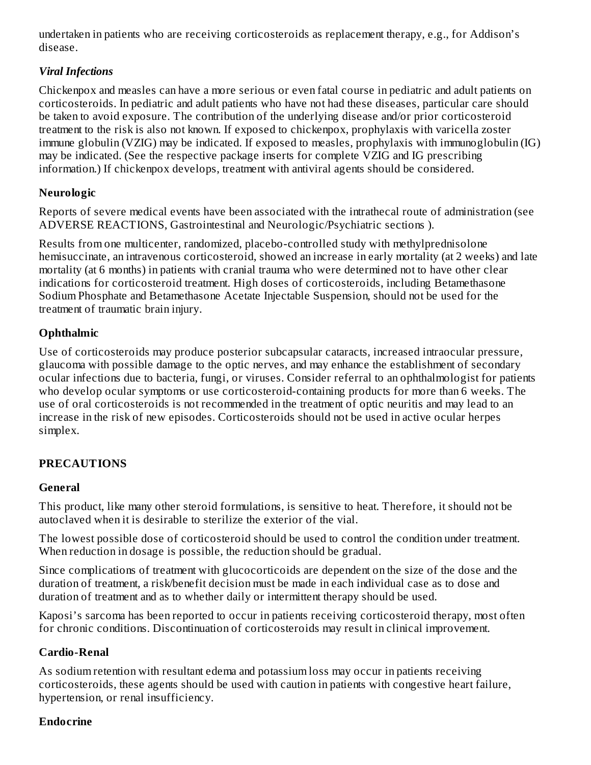undertaken in patients who are receiving corticosteroids as replacement therapy, e.g., for Addison's disease.

# *Viral Infections*

Chickenpox and measles can have a more serious or even fatal course in pediatric and adult patients on corticosteroids. In pediatric and adult patients who have not had these diseases, particular care should be taken to avoid exposure. The contribution of the underlying disease and/or prior corticosteroid treatment to the risk is also not known. If exposed to chickenpox, prophylaxis with varicella zoster immune globulin (VZIG) may be indicated. If exposed to measles, prophylaxis with immunoglobulin (IG) may be indicated. (See the respective package inserts for complete VZIG and IG prescribing information.) If chickenpox develops, treatment with antiviral agents should be considered.

# **Neurologic**

Reports of severe medical events have been associated with the intrathecal route of administration (see ADVERSE REACTIONS, Gastrointestinal and Neurologic/Psychiatric sections ).

Results from one multicenter, randomized, placebo-controlled study with methylprednisolone hemisuccinate, an intravenous corticosteroid, showed an increase in early mortality (at 2 weeks) and late mortality (at 6 months) in patients with cranial trauma who were determined not to have other clear indications for corticosteroid treatment. High doses of corticosteroids, including Betamethasone Sodium Phosphate and Betamethasone Acetate Injectable Suspension, should not be used for the treatment of traumatic brain injury.

# **Ophthalmic**

Use of corticosteroids may produce posterior subcapsular cataracts, increased intraocular pressure, glaucoma with possible damage to the optic nerves, and may enhance the establishment of secondary ocular infections due to bacteria, fungi, or viruses. Consider referral to an ophthalmologist for patients who develop ocular symptoms or use corticosteroid-containing products for more than 6 weeks. The use of oral corticosteroids is not recommended in the treatment of optic neuritis and may lead to an increase in the risk of new episodes. Corticosteroids should not be used in active ocular herpes simplex.

# **PRECAUTIONS**

# **General**

This product, like many other steroid formulations, is sensitive to heat. Therefore, it should not be autoclaved when it is desirable to sterilize the exterior of the vial.

The lowest possible dose of corticosteroid should be used to control the condition under treatment. When reduction in dosage is possible, the reduction should be gradual.

Since complications of treatment with glucocorticoids are dependent on the size of the dose and the duration of treatment, a risk/benefit decision must be made in each individual case as to dose and duration of treatment and as to whether daily or intermittent therapy should be used.

Kaposi's sarcoma has been reported to occur in patients receiving corticosteroid therapy, most often for chronic conditions. Discontinuation of corticosteroids may result in clinical improvement.

# **Cardio-Renal**

As sodium retention with resultant edema and potassium loss may occur in patients receiving corticosteroids, these agents should be used with caution in patients with congestive heart failure, hypertension, or renal insufficiency.

# **Endocrine**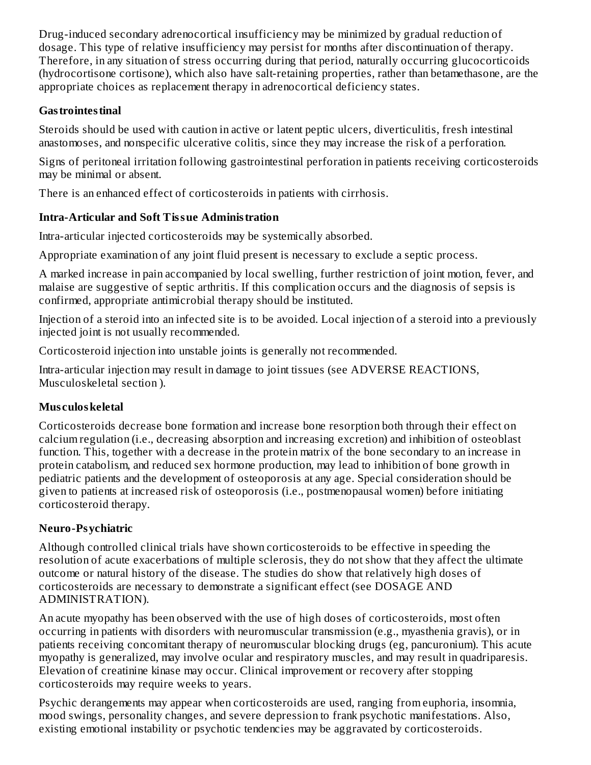Drug-induced secondary adrenocortical insufficiency may be minimized by gradual reduction of dosage. This type of relative insufficiency may persist for months after discontinuation of therapy. Therefore, in any situation of stress occurring during that period, naturally occurring glucocorticoids (hydrocortisone cortisone), which also have salt-retaining properties, rather than betamethasone, are the appropriate choices as replacement therapy in adrenocortical deficiency states.

# **Gastrointestinal**

Steroids should be used with caution in active or latent peptic ulcers, diverticulitis, fresh intestinal anastomoses, and nonspecific ulcerative colitis, since they may increase the risk of a perforation.

Signs of peritoneal irritation following gastrointestinal perforation in patients receiving corticosteroids may be minimal or absent.

There is an enhanced effect of corticosteroids in patients with cirrhosis.

# **Intra-Articular and Soft Tissue Administration**

Intra-articular injected corticosteroids may be systemically absorbed.

Appropriate examination of any joint fluid present is necessary to exclude a septic process.

A marked increase in pain accompanied by local swelling, further restriction of joint motion, fever, and malaise are suggestive of septic arthritis. If this complication occurs and the diagnosis of sepsis is confirmed, appropriate antimicrobial therapy should be instituted.

Injection of a steroid into an infected site is to be avoided. Local injection of a steroid into a previously injected joint is not usually recommended.

Corticosteroid injection into unstable joints is generally not recommended.

Intra-articular injection may result in damage to joint tissues (see ADVERSE REACTIONS, Musculoskeletal section ).

# **Mus culoskeletal**

Corticosteroids decrease bone formation and increase bone resorption both through their effect on calcium regulation (i.e., decreasing absorption and increasing excretion) and inhibition of osteoblast function. This, together with a decrease in the protein matrix of the bone secondary to an increase in protein catabolism, and reduced sex hormone production, may lead to inhibition of bone growth in pediatric patients and the development of osteoporosis at any age. Special consideration should be given to patients at increased risk of osteoporosis (i.e., postmenopausal women) before initiating corticosteroid therapy.

# **Neuro-Psychiatric**

Although controlled clinical trials have shown corticosteroids to be effective in speeding the resolution of acute exacerbations of multiple sclerosis, they do not show that they affect the ultimate outcome or natural history of the disease. The studies do show that relatively high doses of corticosteroids are necessary to demonstrate a significant effect (see DOSAGE AND ADMINISTRATION).

An acute myopathy has been observed with the use of high doses of corticosteroids, most often occurring in patients with disorders with neuromuscular transmission (e.g., myasthenia gravis), or in patients receiving concomitant therapy of neuromuscular blocking drugs (eg, pancuronium). This acute myopathy is generalized, may involve ocular and respiratory muscles, and may result in quadriparesis. Elevation of creatinine kinase may occur. Clinical improvement or recovery after stopping corticosteroids may require weeks to years.

Psychic derangements may appear when corticosteroids are used, ranging from euphoria, insomnia, mood swings, personality changes, and severe depression to frank psychotic manifestations. Also, existing emotional instability or psychotic tendencies may be aggravated by corticosteroids.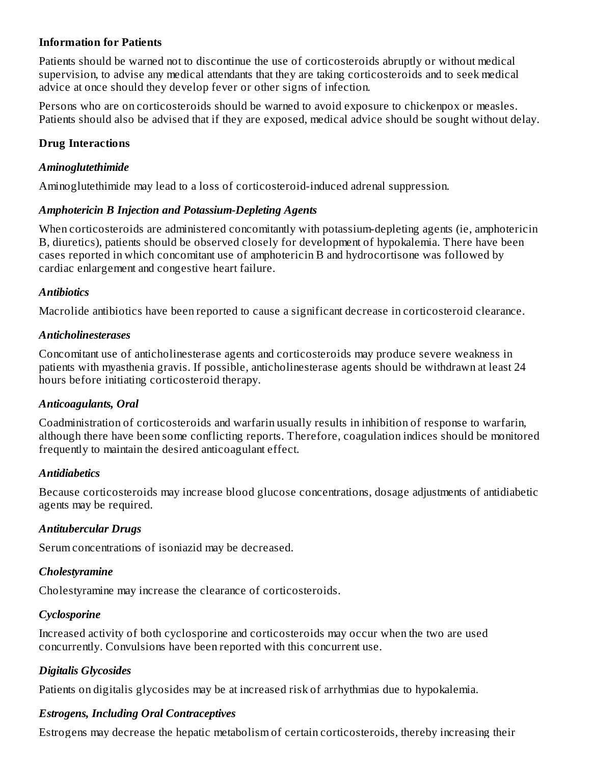## **Information for Patients**

Patients should be warned not to discontinue the use of corticosteroids abruptly or without medical supervision, to advise any medical attendants that they are taking corticosteroids and to seek medical advice at once should they develop fever or other signs of infection.

Persons who are on corticosteroids should be warned to avoid exposure to chickenpox or measles. Patients should also be advised that if they are exposed, medical advice should be sought without delay.

#### **Drug Interactions**

#### *Aminoglutethimide*

Aminoglutethimide may lead to a loss of corticosteroid-induced adrenal suppression.

#### *Amphotericin B Injection and Potassium-Depleting Agents*

When corticosteroids are administered concomitantly with potassium-depleting agents (ie, amphotericin B, diuretics), patients should be observed closely for development of hypokalemia. There have been cases reported in which concomitant use of amphotericin B and hydrocortisone was followed by cardiac enlargement and congestive heart failure.

#### *Antibiotics*

Macrolide antibiotics have been reported to cause a significant decrease in corticosteroid clearance.

#### *Anticholinesterases*

Concomitant use of anticholinesterase agents and corticosteroids may produce severe weakness in patients with myasthenia gravis. If possible, anticholinesterase agents should be withdrawn at least 24 hours before initiating corticosteroid therapy.

#### *Anticoagulants, Oral*

Coadministration of corticosteroids and warfarin usually results in inhibition of response to warfarin, although there have been some conflicting reports. Therefore, coagulation indices should be monitored frequently to maintain the desired anticoagulant effect.

#### *Antidiabetics*

Because corticosteroids may increase blood glucose concentrations, dosage adjustments of antidiabetic agents may be required.

#### *Antitubercular Drugs*

Serum concentrations of isoniazid may be decreased.

#### *Cholestyramine*

Cholestyramine may increase the clearance of corticosteroids.

#### *Cyclosporine*

Increased activity of both cyclosporine and corticosteroids may occur when the two are used concurrently. Convulsions have been reported with this concurrent use.

#### *Digitalis Glycosides*

Patients on digitalis glycosides may be at increased risk of arrhythmias due to hypokalemia.

#### *Estrogens, Including Oral Contraceptives*

Estrogens may decrease the hepatic metabolism of certain corticosteroids, thereby increasing their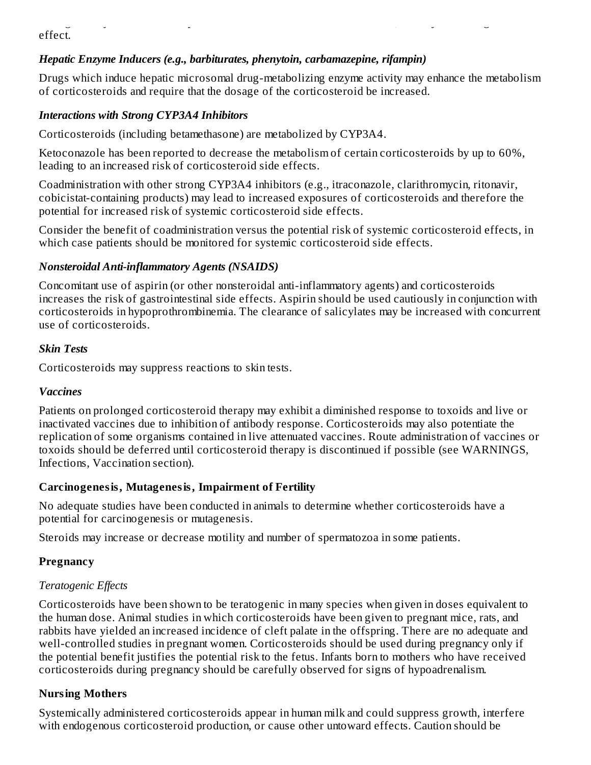#### Estrogens may decrease the hepatic metabolism of certain corticosteroids, thereby increasing their effect.

### *Hepatic Enzyme Inducers (e.g., barbiturates, phenytoin, carbamazepine, rifampin)*

Drugs which induce hepatic microsomal drug-metabolizing enzyme activity may enhance the metabolism of corticosteroids and require that the dosage of the corticosteroid be increased.

#### *Interactions with Strong CYP3A4 Inhibitors*

Corticosteroids (including betamethasone) are metabolized by CYP3A4.

Ketoconazole has been reported to decrease the metabolism of certain corticosteroids by up to 60%, leading to an increased risk of corticosteroid side effects.

Coadministration with other strong CYP3A4 inhibitors (e.g., itraconazole, clarithromycin, ritonavir, cobicistat-containing products) may lead to increased exposures of corticosteroids and therefore the potential for increased risk of systemic corticosteroid side effects.

Consider the benefit of coadministration versus the potential risk of systemic corticosteroid effects, in which case patients should be monitored for systemic corticosteroid side effects.

#### *Nonsteroidal Anti-inflammatory Agents (NSAIDS)*

Concomitant use of aspirin (or other nonsteroidal anti-inflammatory agents) and corticosteroids increases the risk of gastrointestinal side effects. Aspirin should be used cautiously in conjunction with corticosteroids in hypoprothrombinemia. The clearance of salicylates may be increased with concurrent use of corticosteroids.

#### *Skin Tests*

Corticosteroids may suppress reactions to skin tests.

#### *Vaccines*

Patients on prolonged corticosteroid therapy may exhibit a diminished response to toxoids and live or inactivated vaccines due to inhibition of antibody response. Corticosteroids may also potentiate the replication of some organisms contained in live attenuated vaccines. Route administration of vaccines or toxoids should be deferred until corticosteroid therapy is discontinued if possible (see WARNINGS, Infections, Vaccination section).

#### **Carcinogenesis, Mutagenesis, Impairment of Fertility**

No adequate studies have been conducted in animals to determine whether corticosteroids have a potential for carcinogenesis or mutagenesis.

Steroids may increase or decrease motility and number of spermatozoa in some patients.

#### **Pregnancy**

#### *Teratogenic Effects*

Corticosteroids have been shown to be teratogenic in many species when given in doses equivalent to the human dose. Animal studies in which corticosteroids have been given to pregnant mice, rats, and rabbits have yielded an increased incidence of cleft palate in the offspring. There are no adequate and well-controlled studies in pregnant women. Corticosteroids should be used during pregnancy only if the potential benefit justifies the potential risk to the fetus. Infants born to mothers who have received corticosteroids during pregnancy should be carefully observed for signs of hypoadrenalism.

# **Nursing Mothers**

Systemically administered corticosteroids appear in human milk and could suppress growth, interfere with endogenous corticosteroid production, or cause other untoward effects. Caution should be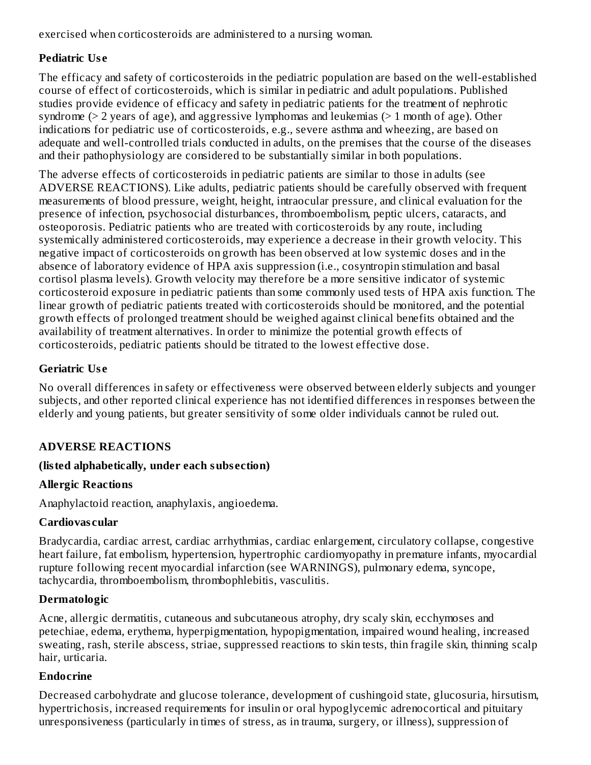exercised when corticosteroids are administered to a nursing woman.

# **Pediatric Us e**

The efficacy and safety of corticosteroids in the pediatric population are based on the well-established course of effect of corticosteroids, which is similar in pediatric and adult populations. Published studies provide evidence of efficacy and safety in pediatric patients for the treatment of nephrotic syndrome  $(> 2$  years of age), and aggressive lymphomas and leukemias  $(> 1$  month of age). Other indications for pediatric use of corticosteroids, e.g., severe asthma and wheezing, are based on adequate and well-controlled trials conducted in adults, on the premises that the course of the diseases and their pathophysiology are considered to be substantially similar in both populations.

The adverse effects of corticosteroids in pediatric patients are similar to those in adults (see ADVERSE REACTIONS). Like adults, pediatric patients should be carefully observed with frequent measurements of blood pressure, weight, height, intraocular pressure, and clinical evaluation for the presence of infection, psychosocial disturbances, thromboembolism, peptic ulcers, cataracts, and osteoporosis. Pediatric patients who are treated with corticosteroids by any route, including systemically administered corticosteroids, may experience a decrease in their growth velocity. This negative impact of corticosteroids on growth has been observed at low systemic doses and in the absence of laboratory evidence of HPA axis suppression (i.e., cosyntropin stimulation and basal cortisol plasma levels). Growth velocity may therefore be a more sensitive indicator of systemic corticosteroid exposure in pediatric patients than some commonly used tests of HPA axis function. The linear growth of pediatric patients treated with corticosteroids should be monitored, and the potential growth effects of prolonged treatment should be weighed against clinical benefits obtained and the availability of treatment alternatives. In order to minimize the potential growth effects of corticosteroids, pediatric patients should be titrated to the lowest effective dose.

# **Geriatric Us e**

No overall differences in safety or effectiveness were observed between elderly subjects and younger subjects, and other reported clinical experience has not identified differences in responses between the elderly and young patients, but greater sensitivity of some older individuals cannot be ruled out.

# **ADVERSE REACTIONS**

# **(listed alphabetically, under each subs ection)**

# **Allergic Reactions**

Anaphylactoid reaction, anaphylaxis, angioedema.

# **Cardiovas cular**

Bradycardia, cardiac arrest, cardiac arrhythmias, cardiac enlargement, circulatory collapse, congestive heart failure, fat embolism, hypertension, hypertrophic cardiomyopathy in premature infants, myocardial rupture following recent myocardial infarction (see WARNINGS), pulmonary edema, syncope, tachycardia, thromboembolism, thrombophlebitis, vasculitis.

# **Dermatologic**

Acne, allergic dermatitis, cutaneous and subcutaneous atrophy, dry scaly skin, ecchymoses and petechiae, edema, erythema, hyperpigmentation, hypopigmentation, impaired wound healing, increased sweating, rash, sterile abscess, striae, suppressed reactions to skin tests, thin fragile skin, thinning scalp hair, urticaria.

# **Endocrine**

Decreased carbohydrate and glucose tolerance, development of cushingoid state, glucosuria, hirsutism, hypertrichosis, increased requirements for insulin or oral hypoglycemic adrenocortical and pituitary unresponsiveness (particularly in times of stress, as in trauma, surgery, or illness), suppression of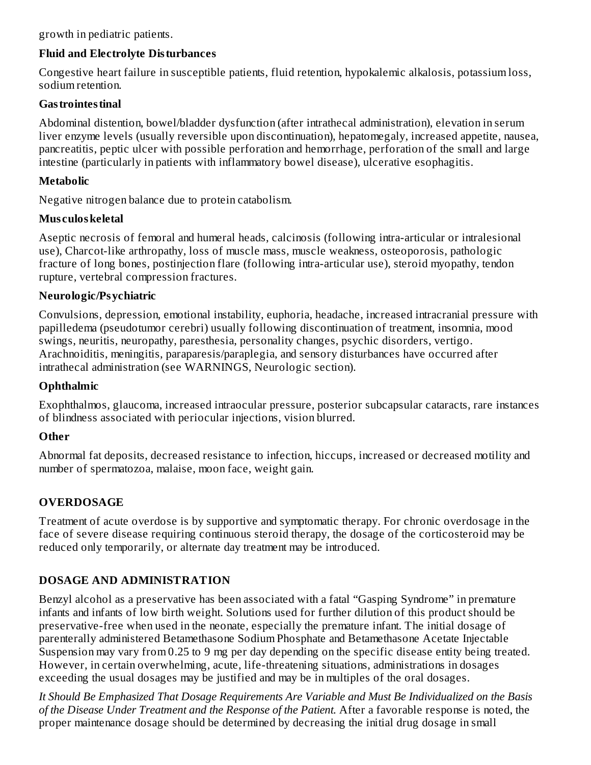growth in pediatric patients.

### **Fluid and Electrolyte Disturbances**

Congestive heart failure in susceptible patients, fluid retention, hypokalemic alkalosis, potassium loss, sodium retention.

#### **Gastrointestinal**

Abdominal distention, bowel/bladder dysfunction (after intrathecal administration), elevation in serum liver enzyme levels (usually reversible upon discontinuation), hepatomegaly, increased appetite, nausea, pancreatitis, peptic ulcer with possible perforation and hemorrhage, perforation of the small and large intestine (particularly in patients with inflammatory bowel disease), ulcerative esophagitis.

#### **Metabolic**

Negative nitrogen balance due to protein catabolism.

### **Mus culoskeletal**

Aseptic necrosis of femoral and humeral heads, calcinosis (following intra-articular or intralesional use), Charcot-like arthropathy, loss of muscle mass, muscle weakness, osteoporosis, pathologic fracture of long bones, postinjection flare (following intra-articular use), steroid myopathy, tendon rupture, vertebral compression fractures.

### **Neurologic/Psychiatric**

Convulsions, depression, emotional instability, euphoria, headache, increased intracranial pressure with papilledema (pseudotumor cerebri) usually following discontinuation of treatment, insomnia, mood swings, neuritis, neuropathy, paresthesia, personality changes, psychic disorders, vertigo. Arachnoiditis, meningitis, paraparesis/paraplegia, and sensory disturbances have occurred after intrathecal administration (see WARNINGS, Neurologic section).

## **Ophthalmic**

Exophthalmos, glaucoma, increased intraocular pressure, posterior subcapsular cataracts, rare instances of blindness associated with periocular injections, vision blurred.

#### **Other**

Abnormal fat deposits, decreased resistance to infection, hiccups, increased or decreased motility and number of spermatozoa, malaise, moon face, weight gain.

# **OVERDOSAGE**

Treatment of acute overdose is by supportive and symptomatic therapy. For chronic overdosage in the face of severe disease requiring continuous steroid therapy, the dosage of the corticosteroid may be reduced only temporarily, or alternate day treatment may be introduced.

# **DOSAGE AND ADMINISTRATION**

Benzyl alcohol as a preservative has been associated with a fatal "Gasping Syndrome" in premature infants and infants of low birth weight. Solutions used for further dilution of this product should be preservative-free when used in the neonate, especially the premature infant. The initial dosage of parenterally administered Betamethasone Sodium Phosphate and Betamethasone Acetate Injectable Suspension may vary from 0.25 to 9 mg per day depending on the specific disease entity being treated. However, in certain overwhelming, acute, life-threatening situations, administrations in dosages exceeding the usual dosages may be justified and may be in multiples of the oral dosages.

*It Should Be Emphasized That Dosage Requirements Are Variable and Must Be Individualized on the Basis of the Disease Under Treatment and the Response of the Patient.* After a favorable response is noted, the proper maintenance dosage should be determined by decreasing the initial drug dosage in small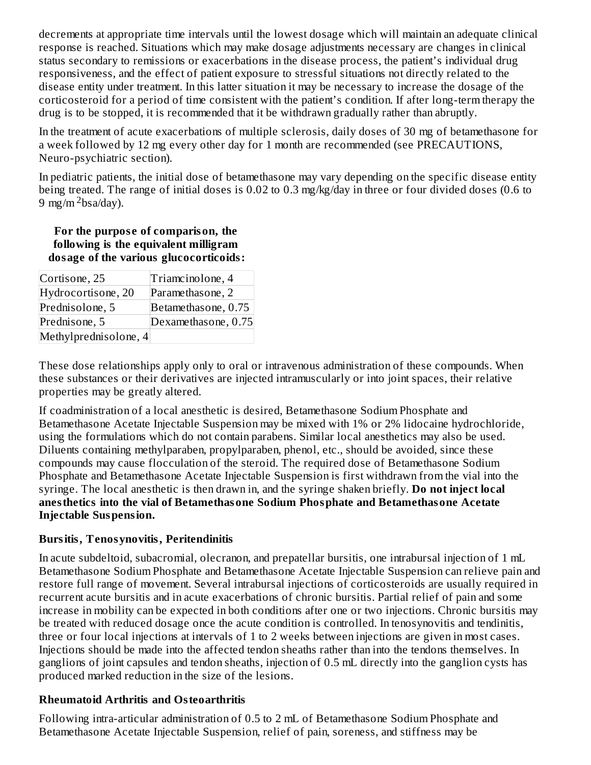decrements at appropriate time intervals until the lowest dosage which will maintain an adequate clinical response is reached. Situations which may make dosage adjustments necessary are changes in clinical status secondary to remissions or exacerbations in the disease process, the patient's individual drug responsiveness, and the effect of patient exposure to stressful situations not directly related to the disease entity under treatment. In this latter situation it may be necessary to increase the dosage of the corticosteroid for a period of time consistent with the patient's condition. If after long-term therapy the drug is to be stopped, it is recommended that it be withdrawn gradually rather than abruptly.

In the treatment of acute exacerbations of multiple sclerosis, daily doses of 30 mg of betamethasone for a week followed by 12 mg every other day for 1 month are recommended (see PRECAUTIONS, Neuro-psychiatric section).

In pediatric patients, the initial dose of betamethasone may vary depending on the specific disease entity being treated. The range of initial doses is 0.02 to 0.3 mg/kg/day in three or four divided doses (0.6 to 9 mg/m<sup>2</sup>bsa/day).

#### **For the purpos e of comparison, the following is the equivalent milligram dosage of the various glucocorticoids:**

| Cortisone, 25         | Triamcinolone, 4    |
|-----------------------|---------------------|
| Hydrocortisone, 20    | Paramethasone, 2    |
| Prednisolone, 5       | Betamethasone, 0.75 |
| Prednisone, 5         | Dexamethasone, 0.75 |
| Methylprednisolone, 4 |                     |

These dose relationships apply only to oral or intravenous administration of these compounds. When these substances or their derivatives are injected intramuscularly or into joint spaces, their relative properties may be greatly altered.

If coadministration of a local anesthetic is desired, Betamethasone Sodium Phosphate and Betamethasone Acetate Injectable Suspension may be mixed with 1% or 2% lidocaine hydrochloride, using the formulations which do not contain parabens. Similar local anesthetics may also be used. Diluents containing methylparaben, propylparaben, phenol, etc., should be avoided, since these compounds may cause flocculation of the steroid. The required dose of Betamethasone Sodium Phosphate and Betamethasone Acetate Injectable Suspension is first withdrawn from the vial into the syringe. The local anesthetic is then drawn in, and the syringe shaken briefly. **Do not inject local anesthetics into the vial of Betamethasone Sodium Phosphate and Betamethasone Acetate Injectable Suspension.**

#### **Bursitis, Tenosynovitis, Peritendinitis**

In acute subdeltoid, subacromial, olecranon, and prepatellar bursitis, one intrabursal injection of 1 mL Betamethasone Sodium Phosphate and Betamethasone Acetate Injectable Suspension can relieve pain and restore full range of movement. Several intrabursal injections of corticosteroids are usually required in recurrent acute bursitis and in acute exacerbations of chronic bursitis. Partial relief of pain and some increase in mobility can be expected in both conditions after one or two injections. Chronic bursitis may be treated with reduced dosage once the acute condition is controlled. In tenosynovitis and tendinitis, three or four local injections at intervals of 1 to 2 weeks between injections are given in most cases. Injections should be made into the affected tendon sheaths rather than into the tendons themselves. In ganglions of joint capsules and tendon sheaths, injection of 0.5 mL directly into the ganglion cysts has produced marked reduction in the size of the lesions.

#### **Rheumatoid Arthritis and Osteoarthritis**

Following intra-articular administration of 0.5 to 2 mL of Betamethasone Sodium Phosphate and Betamethasone Acetate Injectable Suspension, relief of pain, soreness, and stiffness may be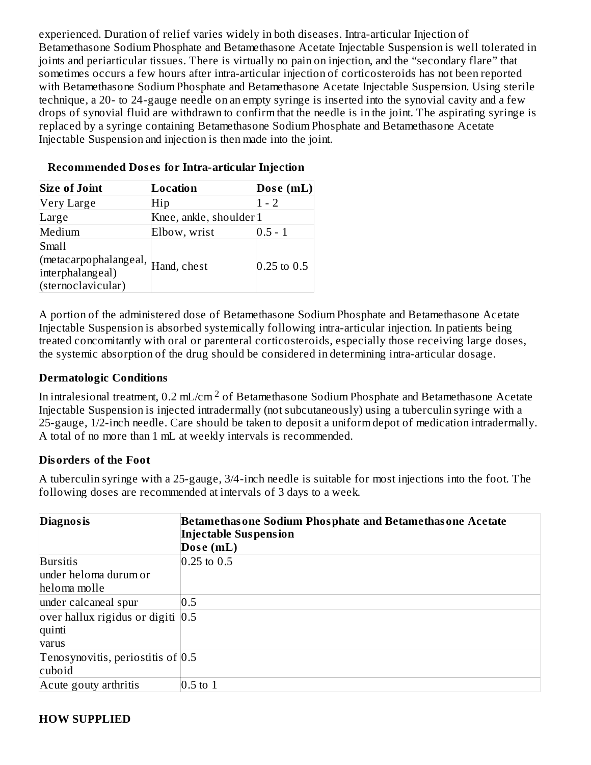experienced. Duration of relief varies widely in both diseases. Intra-articular Injection of Betamethasone Sodium Phosphate and Betamethasone Acetate Injectable Suspension is well tolerated in joints and periarticular tissues. There is virtually no pain on injection, and the "secondary flare" that sometimes occurs a few hours after intra-articular injection of corticosteroids has not been reported with Betamethasone Sodium Phosphate and Betamethasone Acetate Injectable Suspension. Using sterile technique, a 20- to 24-gauge needle on an empty syringe is inserted into the synovial cavity and a few drops of synovial fluid are withdrawn to confirm that the needle is in the joint. The aspirating syringe is replaced by a syringe containing Betamethasone Sodium Phosphate and Betamethasone Acetate Injectable Suspension and injection is then made into the joint.

| <b>Size of Joint</b>                                                          | Location                | Dose (mL)       |
|-------------------------------------------------------------------------------|-------------------------|-----------------|
| Very Large                                                                    | Hip                     | $1 - 2$         |
| Large                                                                         | Knee, ankle, shoulder 1 |                 |
| Medium                                                                        | Elbow, wrist            | $0.5 - 1$       |
| Small                                                                         |                         |                 |
| $\lim_{x\to a}$ (metacarpophalangeal, $\big $ Hand, chest<br>interphalangeal) |                         | $0.25$ to $0.5$ |
| (sternoclavicular)                                                            |                         |                 |

**Recommended Dos es for Intra-articular Injection**

A portion of the administered dose of Betamethasone Sodium Phosphate and Betamethasone Acetate Injectable Suspension is absorbed systemically following intra-articular injection. In patients being treated concomitantly with oral or parenteral corticosteroids, especially those receiving large doses, the systemic absorption of the drug should be considered in determining intra-articular dosage.

#### **Dermatologic Conditions**

In intralesional treatment, 0.2 mL/cm<sup>2</sup> of Betamethasone Sodium Phosphate and Betamethasone Acetate Injectable Suspension is injected intradermally (not subcutaneously) using a tuberculin syringe with a 25-gauge, 1/2-inch needle. Care should be taken to deposit a uniform depot of medication intradermally. A total of no more than 1 mL at weekly intervals is recommended.

#### **Disorders of the Foot**

A tuberculin syringe with a 25-gauge, 3/4-inch needle is suitable for most injections into the foot. The following doses are recommended at intervals of 3 days to a week.

| <b>Diagnosis</b>                      | <b>Betamethasone Sodium Phosphate and Betamethasone Acetate</b><br><b>Injectable Suspension</b><br>Dose (mL) |
|---------------------------------------|--------------------------------------------------------------------------------------------------------------|
| <b>Bursitis</b>                       | $0.25$ to $0.5$                                                                                              |
| under heloma durum or                 |                                                                                                              |
| heloma molle                          |                                                                                                              |
| under calcaneal spur                  | 0.5                                                                                                          |
| over hallux rigidus or digiti $ 0.5 $ |                                                                                                              |
| quinti                                |                                                                                                              |
| varus                                 |                                                                                                              |
| Tenosynovitis, periostitis of $ 0.5 $ |                                                                                                              |
| cuboid                                |                                                                                                              |
| Acute gouty arthritis                 | $0.5$ to $1$                                                                                                 |

#### **HOW SUPPLIED**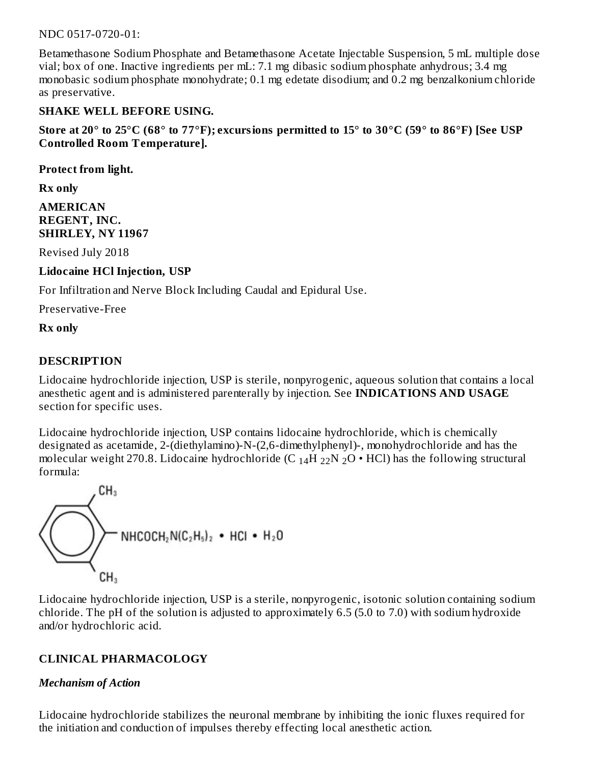#### NDC 0517-0720-01:

Betamethasone Sodium Phosphate and Betamethasone Acetate Injectable Suspension, 5 mL multiple dose vial; box of one. Inactive ingredients per mL: 7.1 mg dibasic sodium phosphate anhydrous; 3.4 mg monobasic sodium phosphate monohydrate; 0.1 mg edetate disodium; and 0.2 mg benzalkonium chloride as preservative.

### **SHAKE WELL BEFORE USING.**

Store at 20 $^{\circ}$  to 25 $^{\circ}$ C (68 $^{\circ}$  to 77 $^{\circ}$ F); excursions permitted to 15 $^{\circ}$  to 30 $^{\circ}$ C (59 $^{\circ}$  to 86 $^{\circ}$ F) [See USP **Controlled Room Temperature].**

**Protect from light.**

**Rx only**

**AMERICAN REGENT, INC. SHIRLEY, NY 11967**

Revised July 2018

# **Lidocaine HCl Injection, USP**

For Infiltration and Nerve Block Including Caudal and Epidural Use.

Preservative-Free

**Rx only**

# **DESCRIPTION**

Lidocaine hydrochloride injection, USP is sterile, nonpyrogenic, aqueous solution that contains a local anesthetic agent and is administered parenterally by injection. See **INDICATIONS AND USAGE** section for specific uses.

Lidocaine hydrochloride injection, USP contains lidocaine hydrochloride, which is chemically designated as acetamide, 2-(diethylamino)-N-(2,6-dimethylphenyl)-, monohydrochloride and has the molecular weight 270.8. Lidocaine hydrochloride (C  $_{14}$ H  $_{22}$ N  $_{2}$ O  $\cdot$  HCl) has the following structural formula:



Lidocaine hydrochloride injection, USP is a sterile, nonpyrogenic, isotonic solution containing sodium chloride. The pH of the solution is adjusted to approximately 6.5 (5.0 to 7.0) with sodium hydroxide and/or hydrochloric acid.

# **CLINICAL PHARMACOLOGY**

# *Mechanism of Action*

Lidocaine hydrochloride stabilizes the neuronal membrane by inhibiting the ionic fluxes required for the initiation and conduction of impulses thereby effecting local anesthetic action.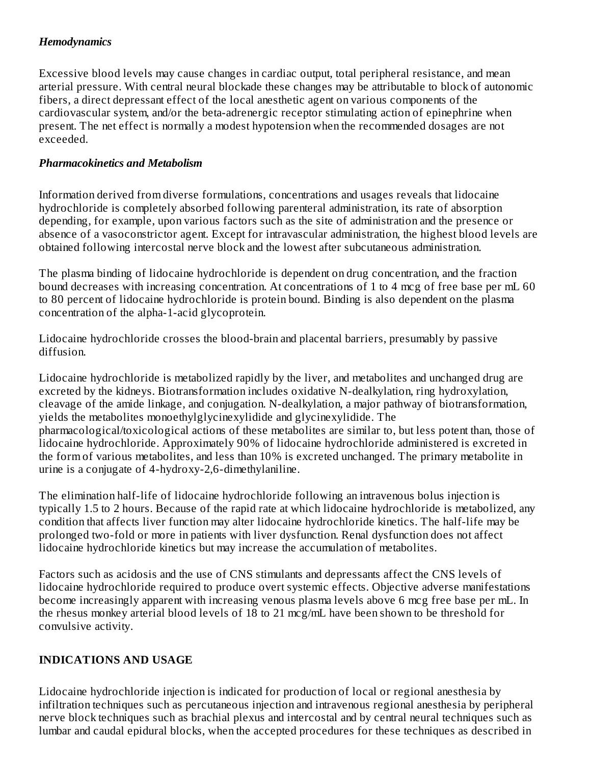#### *Hemodynamics*

Excessive blood levels may cause changes in cardiac output, total peripheral resistance, and mean arterial pressure. With central neural blockade these changes may be attributable to block of autonomic fibers, a direct depressant effect of the local anesthetic agent on various components of the cardiovascular system, and/or the beta-adrenergic receptor stimulating action of epinephrine when present. The net effect is normally a modest hypotension when the recommended dosages are not exceeded.

#### *Pharmacokinetics and Metabolism*

Information derived from diverse formulations, concentrations and usages reveals that lidocaine hydrochloride is completely absorbed following parenteral administration, its rate of absorption depending, for example, upon various factors such as the site of administration and the presence or absence of a vasoconstrictor agent. Except for intravascular administration, the highest blood levels are obtained following intercostal nerve block and the lowest after subcutaneous administration.

The plasma binding of lidocaine hydrochloride is dependent on drug concentration, and the fraction bound decreases with increasing concentration. At concentrations of 1 to 4 mcg of free base per mL 60 to 80 percent of lidocaine hydrochloride is protein bound. Binding is also dependent on the plasma concentration of the alpha-1-acid glycoprotein.

Lidocaine hydrochloride crosses the blood-brain and placental barriers, presumably by passive diffusion.

Lidocaine hydrochloride is metabolized rapidly by the liver, and metabolites and unchanged drug are excreted by the kidneys. Biotransformation includes oxidative N-dealkylation, ring hydroxylation, cleavage of the amide linkage, and conjugation. N-dealkylation, a major pathway of biotransformation, yields the metabolites monoethylglycinexylidide and glycinexylidide. The pharmacological/toxicological actions of these metabolites are similar to, but less potent than, those of lidocaine hydrochloride. Approximately 90% of lidocaine hydrochloride administered is excreted in the form of various metabolites, and less than 10% is excreted unchanged. The primary metabolite in urine is a conjugate of 4-hydroxy-2,6-dimethylaniline.

The elimination half-life of lidocaine hydrochloride following an intravenous bolus injection is typically 1.5 to 2 hours. Because of the rapid rate at which lidocaine hydrochloride is metabolized, any condition that affects liver function may alter lidocaine hydrochloride kinetics. The half-life may be prolonged two-fold or more in patients with liver dysfunction. Renal dysfunction does not affect lidocaine hydrochloride kinetics but may increase the accumulation of metabolites.

Factors such as acidosis and the use of CNS stimulants and depressants affect the CNS levels of lidocaine hydrochloride required to produce overt systemic effects. Objective adverse manifestations become increasingly apparent with increasing venous plasma levels above 6 mcg free base per mL. In the rhesus monkey arterial blood levels of 18 to 21 mcg/mL have been shown to be threshold for convulsive activity.

# **INDICATIONS AND USAGE**

Lidocaine hydrochloride injection is indicated for production of local or regional anesthesia by infiltration techniques such as percutaneous injection and intravenous regional anesthesia by peripheral nerve block techniques such as brachial plexus and intercostal and by central neural techniques such as lumbar and caudal epidural blocks, when the accepted procedures for these techniques as described in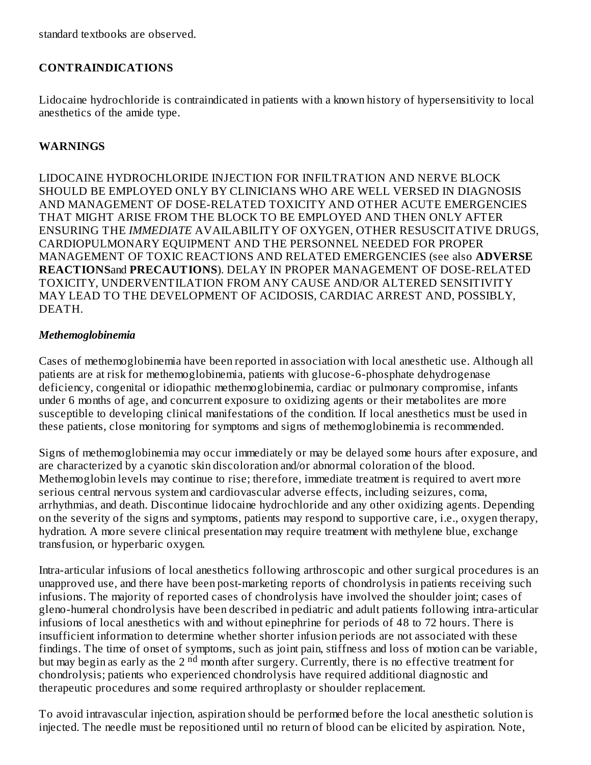# **CONTRAINDICATIONS**

Lidocaine hydrochloride is contraindicated in patients with a known history of hypersensitivity to local anesthetics of the amide type.

# **WARNINGS**

LIDOCAINE HYDROCHLORIDE INJECTION FOR INFILTRATION AND NERVE BLOCK SHOULD BE EMPLOYED ONLY BY CLINICIANS WHO ARE WELL VERSED IN DIAGNOSIS AND MANAGEMENT OF DOSE-RELATED TOXICITY AND OTHER ACUTE EMERGENCIES THAT MIGHT ARISE FROM THE BLOCK TO BE EMPLOYED AND THEN ONLY AFTER ENSURING THE *IMMEDIATE* AVAILABILITY OF OXYGEN, OTHER RESUSCITATIVE DRUGS, CARDIOPULMONARY EQUIPMENT AND THE PERSONNEL NEEDED FOR PROPER MANAGEMENT OF TOXIC REACTIONS AND RELATED EMERGENCIES (see also **ADVERSE REACTIONS**and **PRECAUTIONS**). DELAY IN PROPER MANAGEMENT OF DOSE-RELATED TOXICITY, UNDERVENTILATION FROM ANY CAUSE AND/OR ALTERED SENSITIVITY MAY LEAD TO THE DEVELOPMENT OF ACIDOSIS, CARDIAC ARREST AND, POSSIBLY, DEATH.

# *Methemoglobinemia*

Cases of methemoglobinemia have been reported in association with local anesthetic use. Although all patients are at risk for methemoglobinemia, patients with glucose-6-phosphate dehydrogenase deficiency, congenital or idiopathic methemoglobinemia, cardiac or pulmonary compromise, infants under 6 months of age, and concurrent exposure to oxidizing agents or their metabolites are more susceptible to developing clinical manifestations of the condition. If local anesthetics must be used in these patients, close monitoring for symptoms and signs of methemoglobinemia is recommended.

Signs of methemoglobinemia may occur immediately or may be delayed some hours after exposure, and are characterized by a cyanotic skin discoloration and/or abnormal coloration of the blood. Methemoglobin levels may continue to rise; therefore, immediate treatment is required to avert more serious central nervous system and cardiovascular adverse effects, including seizures, coma, arrhythmias, and death. Discontinue lidocaine hydrochloride and any other oxidizing agents. Depending on the severity of the signs and symptoms, patients may respond to supportive care, i.e., oxygen therapy, hydration. A more severe clinical presentation may require treatment with methylene blue, exchange transfusion, or hyperbaric oxygen.

Intra-articular infusions of local anesthetics following arthroscopic and other surgical procedures is an unapproved use, and there have been post-marketing reports of chondrolysis in patients receiving such infusions. The majority of reported cases of chondrolysis have involved the shoulder joint; cases of gleno-humeral chondrolysis have been described in pediatric and adult patients following intra-articular infusions of local anesthetics with and without epinephrine for periods of 48 to 72 hours. There is insufficient information to determine whether shorter infusion periods are not associated with these findings. The time of onset of symptoms, such as joint pain, stiffness and loss of motion can be variable, but may begin as early as the 2  $<sup>nd</sup>$  month after surgery. Currently, there is no effective treatment for</sup> chondrolysis; patients who experienced chondrolysis have required additional diagnostic and therapeutic procedures and some required arthroplasty or shoulder replacement.

To avoid intravascular injection, aspiration should be performed before the local anesthetic solution is injected. The needle must be repositioned until no return of blood can be elicited by aspiration. Note,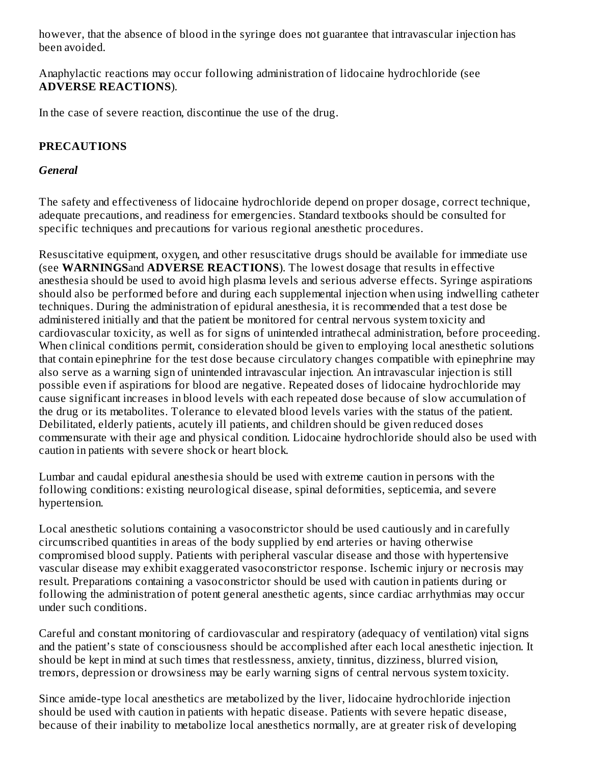however, that the absence of blood in the syringe does not guarantee that intravascular injection has been avoided.

Anaphylactic reactions may occur following administration of lidocaine hydrochloride (see **ADVERSE REACTIONS**).

In the case of severe reaction, discontinue the use of the drug.

# **PRECAUTIONS**

#### *General*

The safety and effectiveness of lidocaine hydrochloride depend on proper dosage, correct technique, adequate precautions, and readiness for emergencies. Standard textbooks should be consulted for specific techniques and precautions for various regional anesthetic procedures.

Resuscitative equipment, oxygen, and other resuscitative drugs should be available for immediate use (see **WARNINGS**and **ADVERSE REACTIONS**). The lowest dosage that results in effective anesthesia should be used to avoid high plasma levels and serious adverse effects. Syringe aspirations should also be performed before and during each supplemental injection when using indwelling catheter techniques. During the administration of epidural anesthesia, it is recommended that a test dose be administered initially and that the patient be monitored for central nervous system toxicity and cardiovascular toxicity, as well as for signs of unintended intrathecal administration, before proceeding. When clinical conditions permit, consideration should be given to employing local anesthetic solutions that contain epinephrine for the test dose because circulatory changes compatible with epinephrine may also serve as a warning sign of unintended intravascular injection. An intravascular injection is still possible even if aspirations for blood are negative. Repeated doses of lidocaine hydrochloride may cause significant increases in blood levels with each repeated dose because of slow accumulation of the drug or its metabolites. Tolerance to elevated blood levels varies with the status of the patient. Debilitated, elderly patients, acutely ill patients, and children should be given reduced doses commensurate with their age and physical condition. Lidocaine hydrochloride should also be used with caution in patients with severe shock or heart block.

Lumbar and caudal epidural anesthesia should be used with extreme caution in persons with the following conditions: existing neurological disease, spinal deformities, septicemia, and severe hypertension.

Local anesthetic solutions containing a vasoconstrictor should be used cautiously and in carefully circumscribed quantities in areas of the body supplied by end arteries or having otherwise compromised blood supply. Patients with peripheral vascular disease and those with hypertensive vascular disease may exhibit exaggerated vasoconstrictor response. Ischemic injury or necrosis may result. Preparations containing a vasoconstrictor should be used with caution in patients during or following the administration of potent general anesthetic agents, since cardiac arrhythmias may occur under such conditions.

Careful and constant monitoring of cardiovascular and respiratory (adequacy of ventilation) vital signs and the patient's state of consciousness should be accomplished after each local anesthetic injection. It should be kept in mind at such times that restlessness, anxiety, tinnitus, dizziness, blurred vision, tremors, depression or drowsiness may be early warning signs of central nervous system toxicity.

Since amide-type local anesthetics are metabolized by the liver, lidocaine hydrochloride injection should be used with caution in patients with hepatic disease. Patients with severe hepatic disease, because of their inability to metabolize local anesthetics normally, are at greater risk of developing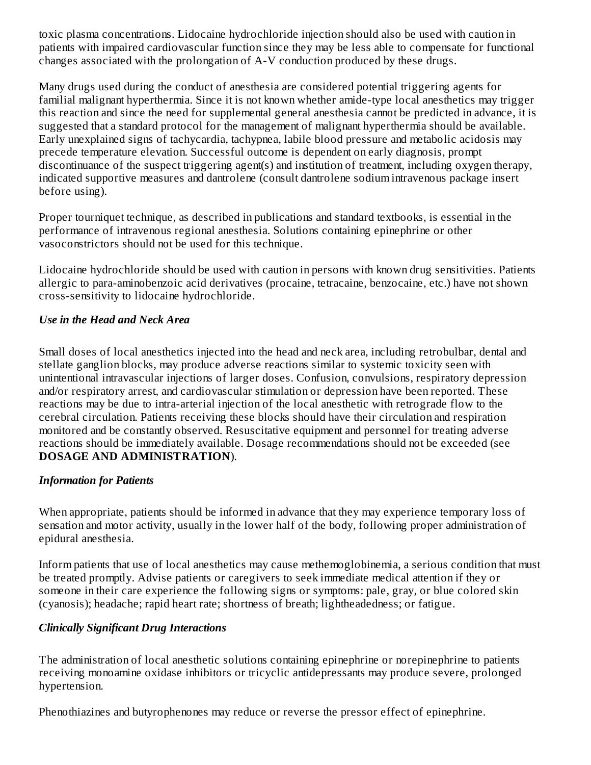toxic plasma concentrations. Lidocaine hydrochloride injection should also be used with caution in patients with impaired cardiovascular function since they may be less able to compensate for functional changes associated with the prolongation of A-V conduction produced by these drugs.

Many drugs used during the conduct of anesthesia are considered potential triggering agents for familial malignant hyperthermia. Since it is not known whether amide-type local anesthetics may trigger this reaction and since the need for supplemental general anesthesia cannot be predicted in advance, it is suggested that a standard protocol for the management of malignant hyperthermia should be available. Early unexplained signs of tachycardia, tachypnea, labile blood pressure and metabolic acidosis may precede temperature elevation. Successful outcome is dependent on early diagnosis, prompt discontinuance of the suspect triggering agent(s) and institution of treatment, including oxygen therapy, indicated supportive measures and dantrolene (consult dantrolene sodium intravenous package insert before using).

Proper tourniquet technique, as described in publications and standard textbooks, is essential in the performance of intravenous regional anesthesia. Solutions containing epinephrine or other vasoconstrictors should not be used for this technique.

Lidocaine hydrochloride should be used with caution in persons with known drug sensitivities. Patients allergic to para-aminobenzoic acid derivatives (procaine, tetracaine, benzocaine, etc.) have not shown cross-sensitivity to lidocaine hydrochloride.

### *Use in the Head and Neck Area*

Small doses of local anesthetics injected into the head and neck area, including retrobulbar, dental and stellate ganglion blocks, may produce adverse reactions similar to systemic toxicity seen with unintentional intravascular injections of larger doses. Confusion, convulsions, respiratory depression and/or respiratory arrest, and cardiovascular stimulation or depression have been reported. These reactions may be due to intra-arterial injection of the local anesthetic with retrograde flow to the cerebral circulation. Patients receiving these blocks should have their circulation and respiration monitored and be constantly observed. Resuscitative equipment and personnel for treating adverse reactions should be immediately available. Dosage recommendations should not be exceeded (see **DOSAGE AND ADMINISTRATION**).

#### *Information for Patients*

When appropriate, patients should be informed in advance that they may experience temporary loss of sensation and motor activity, usually in the lower half of the body, following proper administration of epidural anesthesia.

Inform patients that use of local anesthetics may cause methemoglobinemia, a serious condition that must be treated promptly. Advise patients or caregivers to seek immediate medical attention if they or someone in their care experience the following signs or symptoms: pale, gray, or blue colored skin (cyanosis); headache; rapid heart rate; shortness of breath; lightheadedness; or fatigue.

# *Clinically Significant Drug Interactions*

The administration of local anesthetic solutions containing epinephrine or norepinephrine to patients receiving monoamine oxidase inhibitors or tricyclic antidepressants may produce severe, prolonged hypertension.

Phenothiazines and butyrophenones may reduce or reverse the pressor effect of epinephrine.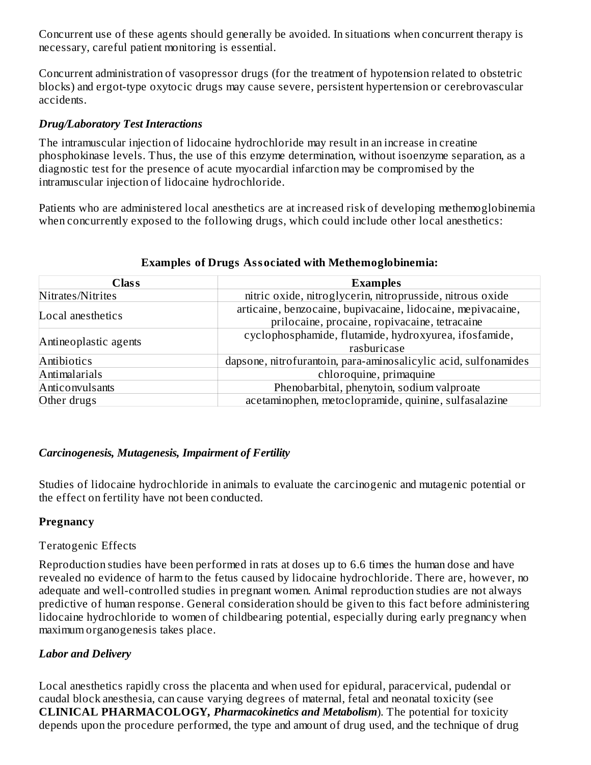Concurrent use of these agents should generally be avoided. In situations when concurrent therapy is necessary, careful patient monitoring is essential.

Concurrent administration of vasopressor drugs (for the treatment of hypotension related to obstetric blocks) and ergot-type oxytocic drugs may cause severe, persistent hypertension or cerebrovascular accidents.

#### *Drug/Laboratory Test Interactions*

The intramuscular injection of lidocaine hydrochloride may result in an increase in creatine phosphokinase levels. Thus, the use of this enzyme determination, without isoenzyme separation, as a diagnostic test for the presence of acute myocardial infarction may be compromised by the intramuscular injection of lidocaine hydrochloride.

Patients who are administered local anesthetics are at increased risk of developing methemoglobinemia when concurrently exposed to the following drugs, which could include other local anesthetics:

| <b>Class</b>                                                  | <b>Examples</b>                                                 |  |
|---------------------------------------------------------------|-----------------------------------------------------------------|--|
| Nitrates/Nitrites                                             | nitric oxide, nitroglycerin, nitroprusside, nitrous oxide       |  |
| Local anesthetics                                             | articaine, benzocaine, bupivacaine, lidocaine, mepivacaine,     |  |
|                                                               | prilocaine, procaine, ropivacaine, tetracaine                   |  |
|                                                               | cyclophosphamide, flutamide, hydroxyurea, ifosfamide,           |  |
| Antineoplastic agents                                         | rasburicase                                                     |  |
| Antibiotics                                                   | dapsone, nitrofurantoin, para-aminosalicylic acid, sulfonamides |  |
| Antimalarials                                                 | chloroquine, primaquine                                         |  |
| Phenobarbital, phenytoin, sodium valproate<br>Anticonvulsants |                                                                 |  |
| Other drugs                                                   | acetaminophen, metoclopramide, quinine, sulfasalazine           |  |

#### **Examples of Drugs Associated with Methemoglobinemia:**

# *Carcinogenesis, Mutagenesis, Impairment of Fertility*

Studies of lidocaine hydrochloride in animals to evaluate the carcinogenic and mutagenic potential or the effect on fertility have not been conducted.

# **Pregnancy**

# Teratogenic Effects

Reproduction studies have been performed in rats at doses up to 6.6 times the human dose and have revealed no evidence of harm to the fetus caused by lidocaine hydrochloride. There are, however, no adequate and well-controlled studies in pregnant women. Animal reproduction studies are not always predictive of human response. General consideration should be given to this fact before administering lidocaine hydrochloride to women of childbearing potential, especially during early pregnancy when maximum organogenesis takes place.

# *Labor and Delivery*

Local anesthetics rapidly cross the placenta and when used for epidural, paracervical, pudendal or caudal block anesthesia, can cause varying degrees of maternal, fetal and neonatal toxicity (see **CLINICAL PHARMACOLOGY,** *Pharmacokinetics and Metabolism*). The potential for toxicity depends upon the procedure performed, the type and amount of drug used, and the technique of drug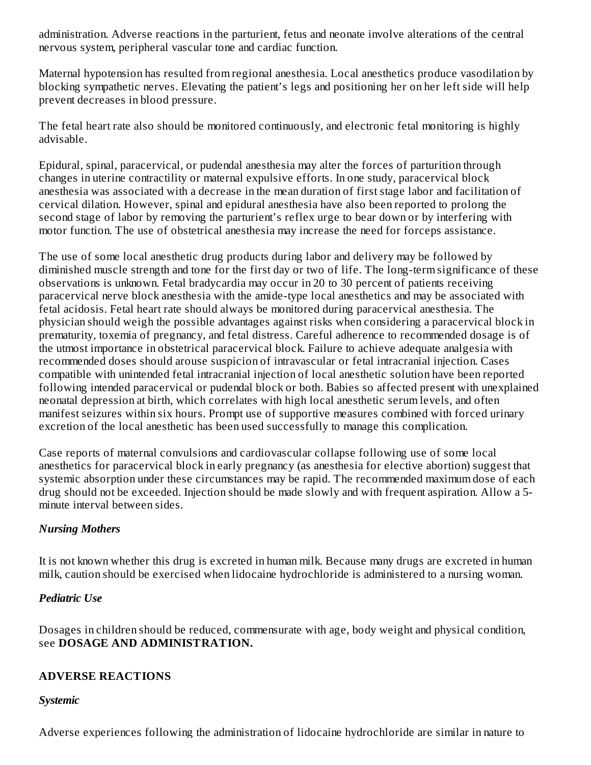administration. Adverse reactions in the parturient, fetus and neonate involve alterations of the central nervous system, peripheral vascular tone and cardiac function.

Maternal hypotension has resulted from regional anesthesia. Local anesthetics produce vasodilation by blocking sympathetic nerves. Elevating the patient's legs and positioning her on her left side will help prevent decreases in blood pressure.

The fetal heart rate also should be monitored continuously, and electronic fetal monitoring is highly advisable.

Epidural, spinal, paracervical, or pudendal anesthesia may alter the forces of parturition through changes in uterine contractility or maternal expulsive efforts. In one study, paracervical block anesthesia was associated with a decrease in the mean duration of first stage labor and facilitation of cervical dilation. However, spinal and epidural anesthesia have also been reported to prolong the second stage of labor by removing the parturient's reflex urge to bear down or by interfering with motor function. The use of obstetrical anesthesia may increase the need for forceps assistance.

The use of some local anesthetic drug products during labor and delivery may be followed by diminished muscle strength and tone for the first day or two of life. The long-term significance of these observations is unknown. Fetal bradycardia may occur in 20 to 30 percent of patients receiving paracervical nerve block anesthesia with the amide-type local anesthetics and may be associated with fetal acidosis. Fetal heart rate should always be monitored during paracervical anesthesia. The physician should weigh the possible advantages against risks when considering a paracervical block in prematurity, toxemia of pregnancy, and fetal distress. Careful adherence to recommended dosage is of the utmost importance in obstetrical paracervical block. Failure to achieve adequate analgesia with recommended doses should arouse suspicion of intravascular or fetal intracranial injection. Cases compatible with unintended fetal intracranial injection of local anesthetic solution have been reported following intended paracervical or pudendal block or both. Babies so affected present with unexplained neonatal depression at birth, which correlates with high local anesthetic serum levels, and often manifest seizures within six hours. Prompt use of supportive measures combined with forced urinary excretion of the local anesthetic has been used successfully to manage this complication.

Case reports of maternal convulsions and cardiovascular collapse following use of some local anesthetics for paracervical block in early pregnancy (as anesthesia for elective abortion) suggest that systemic absorption under these circumstances may be rapid. The recommended maximum dose of each drug should not be exceeded. Injection should be made slowly and with frequent aspiration. Allow a 5 minute interval between sides.

#### *Nursing Mothers*

It is not known whether this drug is excreted in human milk. Because many drugs are excreted in human milk, caution should be exercised when lidocaine hydrochloride is administered to a nursing woman.

#### *Pediatric Use*

Dosages in children should be reduced, commensurate with age, body weight and physical condition, see **DOSAGE AND ADMINISTRATION.**

# **ADVERSE REACTIONS**

#### *Systemic*

Adverse experiences following the administration of lidocaine hydrochloride are similar in nature to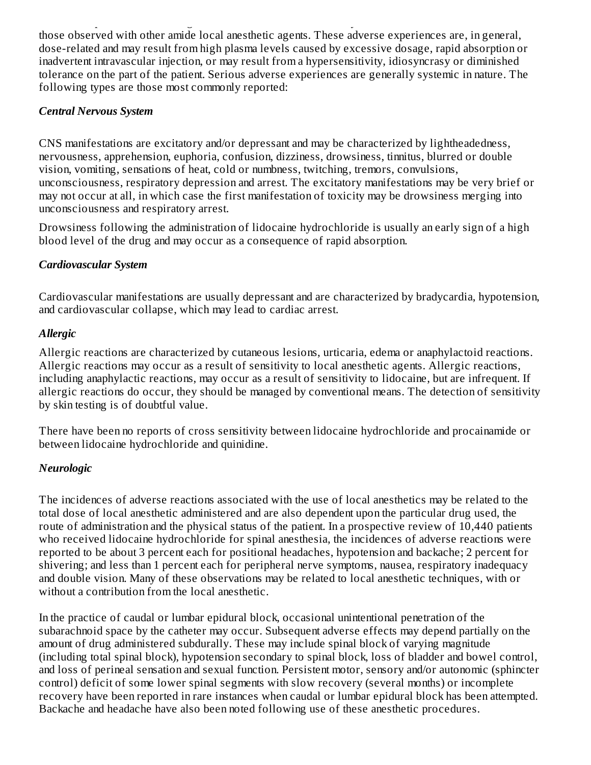Adverse experiences following the administration of lidocaine hydrochloride are similar in nature to those observed with other amide local anesthetic agents. These adverse experiences are, in general, dose-related and may result from high plasma levels caused by excessive dosage, rapid absorption or inadvertent intravascular injection, or may result from a hypersensitivity, idiosyncrasy or diminished tolerance on the part of the patient. Serious adverse experiences are generally systemic in nature. The following types are those most commonly reported:

#### *Central Nervous System*

CNS manifestations are excitatory and/or depressant and may be characterized by lightheadedness, nervousness, apprehension, euphoria, confusion, dizziness, drowsiness, tinnitus, blurred or double vision, vomiting, sensations of heat, cold or numbness, twitching, tremors, convulsions, unconsciousness, respiratory depression and arrest. The excitatory manifestations may be very brief or may not occur at all, in which case the first manifestation of toxicity may be drowsiness merging into unconsciousness and respiratory arrest.

Drowsiness following the administration of lidocaine hydrochloride is usually an early sign of a high blood level of the drug and may occur as a consequence of rapid absorption.

### *Cardiovascular System*

Cardiovascular manifestations are usually depressant and are characterized by bradycardia, hypotension, and cardiovascular collapse, which may lead to cardiac arrest.

# *Allergic*

Allergic reactions are characterized by cutaneous lesions, urticaria, edema or anaphylactoid reactions. Allergic reactions may occur as a result of sensitivity to local anesthetic agents. Allergic reactions, including anaphylactic reactions, may occur as a result of sensitivity to lidocaine, but are infrequent. If allergic reactions do occur, they should be managed by conventional means. The detection of sensitivity by skin testing is of doubtful value.

There have been no reports of cross sensitivity between lidocaine hydrochloride and procainamide or between lidocaine hydrochloride and quinidine.

# *Neurologic*

The incidences of adverse reactions associated with the use of local anesthetics may be related to the total dose of local anesthetic administered and are also dependent upon the particular drug used, the route of administration and the physical status of the patient. In a prospective review of 10,440 patients who received lidocaine hydrochloride for spinal anesthesia, the incidences of adverse reactions were reported to be about 3 percent each for positional headaches, hypotension and backache; 2 percent for shivering; and less than 1 percent each for peripheral nerve symptoms, nausea, respiratory inadequacy and double vision. Many of these observations may be related to local anesthetic techniques, with or without a contribution from the local anesthetic.

In the practice of caudal or lumbar epidural block, occasional unintentional penetration of the subarachnoid space by the catheter may occur. Subsequent adverse effects may depend partially on the amount of drug administered subdurally. These may include spinal block of varying magnitude (including total spinal block), hypotension secondary to spinal block, loss of bladder and bowel control, and loss of perineal sensation and sexual function. Persistent motor, sensory and/or autonomic (sphincter control) deficit of some lower spinal segments with slow recovery (several months) or incomplete recovery have been reported in rare instances when caudal or lumbar epidural block has been attempted. Backache and headache have also been noted following use of these anesthetic procedures.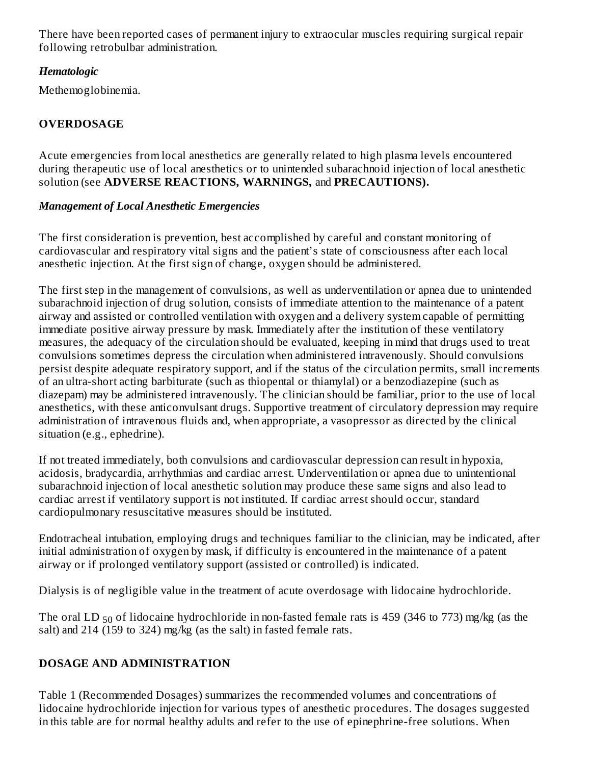There have been reported cases of permanent injury to extraocular muscles requiring surgical repair following retrobulbar administration.

# *Hematologic*

Methemoglobinemia.

# **OVERDOSAGE**

Acute emergencies from local anesthetics are generally related to high plasma levels encountered during therapeutic use of local anesthetics or to unintended subarachnoid injection of local anesthetic solution (see **ADVERSE REACTIONS, WARNINGS,** and **PRECAUTIONS).**

# *Management of Local Anesthetic Emergencies*

The first consideration is prevention, best accomplished by careful and constant monitoring of cardiovascular and respiratory vital signs and the patient's state of consciousness after each local anesthetic injection. At the first sign of change, oxygen should be administered.

The first step in the management of convulsions, as well as underventilation or apnea due to unintended subarachnoid injection of drug solution, consists of immediate attention to the maintenance of a patent airway and assisted or controlled ventilation with oxygen and a delivery system capable of permitting immediate positive airway pressure by mask. Immediately after the institution of these ventilatory measures, the adequacy of the circulation should be evaluated, keeping in mind that drugs used to treat convulsions sometimes depress the circulation when administered intravenously. Should convulsions persist despite adequate respiratory support, and if the status of the circulation permits, small increments of an ultra-short acting barbiturate (such as thiopental or thiamylal) or a benzodiazepine (such as diazepam) may be administered intravenously. The clinician should be familiar, prior to the use of local anesthetics, with these anticonvulsant drugs. Supportive treatment of circulatory depression may require administration of intravenous fluids and, when appropriate, a vasopressor as directed by the clinical situation (e.g., ephedrine).

If not treated immediately, both convulsions and cardiovascular depression can result in hypoxia, acidosis, bradycardia, arrhythmias and cardiac arrest. Underventilation or apnea due to unintentional subarachnoid injection of local anesthetic solution may produce these same signs and also lead to cardiac arrest if ventilatory support is not instituted. If cardiac arrest should occur, standard cardiopulmonary resuscitative measures should be instituted.

Endotracheal intubation, employing drugs and techniques familiar to the clinician, may be indicated, after initial administration of oxygen by mask, if difficulty is encountered in the maintenance of a patent airway or if prolonged ventilatory support (assisted or controlled) is indicated.

Dialysis is of negligible value in the treatment of acute overdosage with lidocaine hydrochloride.

The oral LD  $_{50}$  of lidocaine hydrochloride in non-fasted female rats is 459 (346 to 773) mg/kg (as the salt) and 214 (159 to 324) mg/kg (as the salt) in fasted female rats.

# **DOSAGE AND ADMINISTRATION**

Table 1 (Recommended Dosages) summarizes the recommended volumes and concentrations of lidocaine hydrochloride injection for various types of anesthetic procedures. The dosages suggested in this table are for normal healthy adults and refer to the use of epinephrine-free solutions. When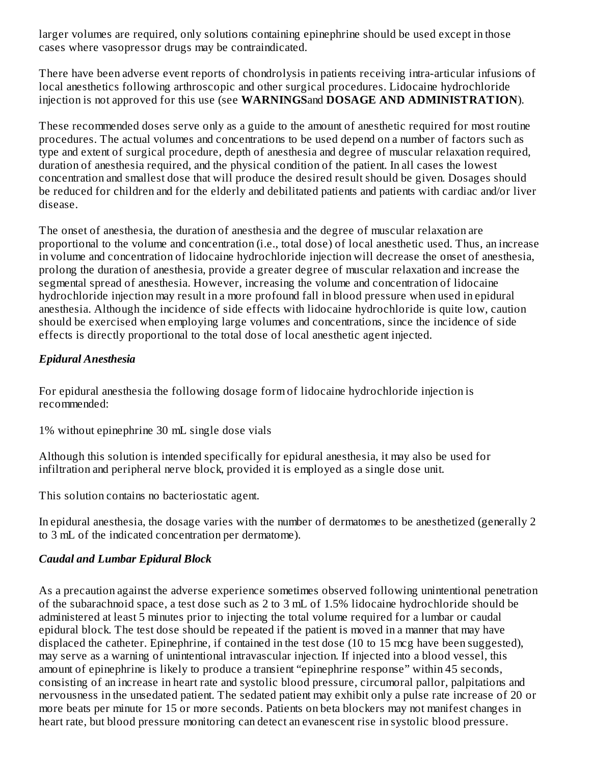larger volumes are required, only solutions containing epinephrine should be used except in those cases where vasopressor drugs may be contraindicated.

There have been adverse event reports of chondrolysis in patients receiving intra-articular infusions of local anesthetics following arthroscopic and other surgical procedures. Lidocaine hydrochloride injection is not approved for this use (see **WARNINGS**and **DOSAGE AND ADMINISTRATION**).

These recommended doses serve only as a guide to the amount of anesthetic required for most routine procedures. The actual volumes and concentrations to be used depend on a number of factors such as type and extent of surgical procedure, depth of anesthesia and degree of muscular relaxation required, duration of anesthesia required, and the physical condition of the patient. In all cases the lowest concentration and smallest dose that will produce the desired result should be given. Dosages should be reduced for children and for the elderly and debilitated patients and patients with cardiac and/or liver disease.

The onset of anesthesia, the duration of anesthesia and the degree of muscular relaxation are proportional to the volume and concentration (i.e., total dose) of local anesthetic used. Thus, an increase in volume and concentration of lidocaine hydrochloride injection will decrease the onset of anesthesia, prolong the duration of anesthesia, provide a greater degree of muscular relaxation and increase the segmental spread of anesthesia. However, increasing the volume and concentration of lidocaine hydrochloride injection may result in a more profound fall in blood pressure when used in epidural anesthesia. Although the incidence of side effects with lidocaine hydrochloride is quite low, caution should be exercised when employing large volumes and concentrations, since the incidence of side effects is directly proportional to the total dose of local anesthetic agent injected.

# *Epidural Anesthesia*

For epidural anesthesia the following dosage form of lidocaine hydrochloride injection is recommended:

1% without epinephrine 30 mL single dose vials

Although this solution is intended specifically for epidural anesthesia, it may also be used for infiltration and peripheral nerve block, provided it is employed as a single dose unit.

This solution contains no bacteriostatic agent.

In epidural anesthesia, the dosage varies with the number of dermatomes to be anesthetized (generally 2 to 3 mL of the indicated concentration per dermatome).

# *Caudal and Lumbar Epidural Block*

As a precaution against the adverse experience sometimes observed following unintentional penetration of the subarachnoid space, a test dose such as 2 to 3 mL of 1.5% lidocaine hydrochloride should be administered at least 5 minutes prior to injecting the total volume required for a lumbar or caudal epidural block. The test dose should be repeated if the patient is moved in a manner that may have displaced the catheter. Epinephrine, if contained in the test dose (10 to 15 mcg have been suggested), may serve as a warning of unintentional intravascular injection. If injected into a blood vessel, this amount of epinephrine is likely to produce a transient "epinephrine response" within 45 seconds, consisting of an increase in heart rate and systolic blood pressure, circumoral pallor, palpitations and nervousness in the unsedated patient. The sedated patient may exhibit only a pulse rate increase of 20 or more beats per minute for 15 or more seconds. Patients on beta blockers may not manifest changes in heart rate, but blood pressure monitoring can detect an evanescent rise in systolic blood pressure.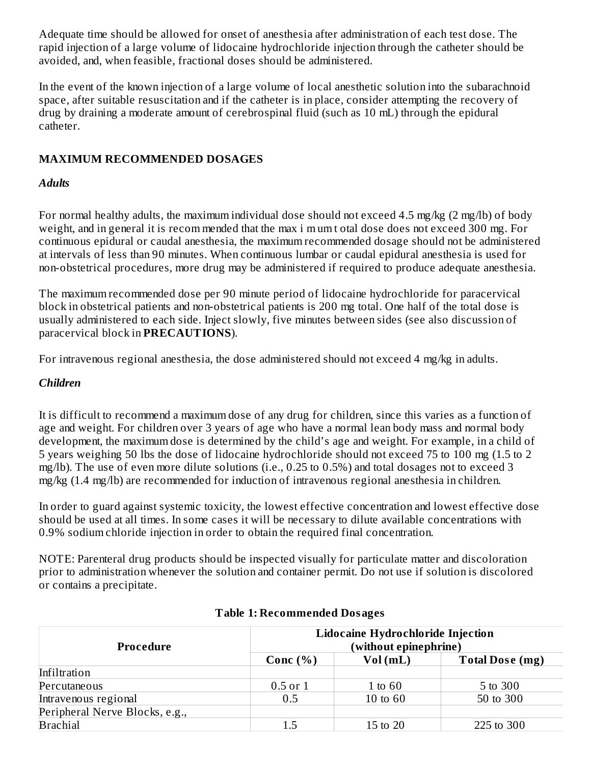Adequate time should be allowed for onset of anesthesia after administration of each test dose. The rapid injection of a large volume of lidocaine hydrochloride injection through the catheter should be avoided, and, when feasible, fractional doses should be administered.

In the event of the known injection of a large volume of local anesthetic solution into the subarachnoid space, after suitable resuscitation and if the catheter is in place, consider attempting the recovery of drug by draining a moderate amount of cerebrospinal fluid (such as 10 mL) through the epidural catheter.

# **MAXIMUM RECOMMENDED DOSAGES**

# *Adults*

For normal healthy adults, the maximum individual dose should not exceed 4.5 mg/kg (2 mg/lb) of body weight, and in general it is recom mended that the max i m um t otal dose does not exceed 300 mg. For continuous epidural or caudal anesthesia, the maximum recommended dosage should not be administered at intervals of less than 90 minutes. When continuous lumbar or caudal epidural anesthesia is used for non-obstetrical procedures, more drug may be administered if required to produce adequate anesthesia.

The maximum recommended dose per 90 minute period of lidocaine hydrochloride for paracervical block in obstetrical patients and non-obstetrical patients is 200 mg total. One half of the total dose is usually administered to each side. Inject slowly, five minutes between sides (see also discussion of paracervical block in **PRECAUTIONS**).

For intravenous regional anesthesia, the dose administered should not exceed 4 mg/kg in adults.

# *Children*

It is difficult to recommend a maximum dose of any drug for children, since this varies as a function of age and weight. For children over 3 years of age who have a normal lean body mass and normal body development, the maximum dose is determined by the child's age and weight. For example, in a child of 5 years weighing 50 lbs the dose of lidocaine hydrochloride should not exceed 75 to 100 mg (1.5 to 2 mg/lb). The use of even more dilute solutions (i.e., 0.25 to 0.5%) and total dosages not to exceed 3 mg/kg (1.4 mg/lb) are recommended for induction of intravenous regional anesthesia in children.

In order to guard against systemic toxicity, the lowest effective concentration and lowest effective dose should be used at all times. In some cases it will be necessary to dilute available concentrations with 0.9% sodium chloride injection in order to obtain the required final concentration.

NOTE: Parenteral drug products should be inspected visually for particulate matter and discoloration prior to administration whenever the solution and container permit. Do not use if solution is discolored or contains a precipitate.

| Procedure                      | Lidocaine Hydrochloride Injection<br>(without epinephrine) |          |                 |  |  |  |
|--------------------------------|------------------------------------------------------------|----------|-----------------|--|--|--|
|                                | Conc $(\% )$                                               | Vol(mL)  | Total Dose (mg) |  |  |  |
| Infiltration                   |                                                            |          |                 |  |  |  |
| Percutaneous                   | $0.5$ or $1$                                               | 1 to 60  | 5 to 300        |  |  |  |
| Intravenous regional           | 0.5                                                        | 10 to 60 | 50 to 300       |  |  |  |
| Peripheral Nerve Blocks, e.g., |                                                            |          |                 |  |  |  |
| <b>Brachial</b>                | 1.5                                                        | 15 to 20 | 225 to 300      |  |  |  |

#### **Table 1: Recommended Dosages**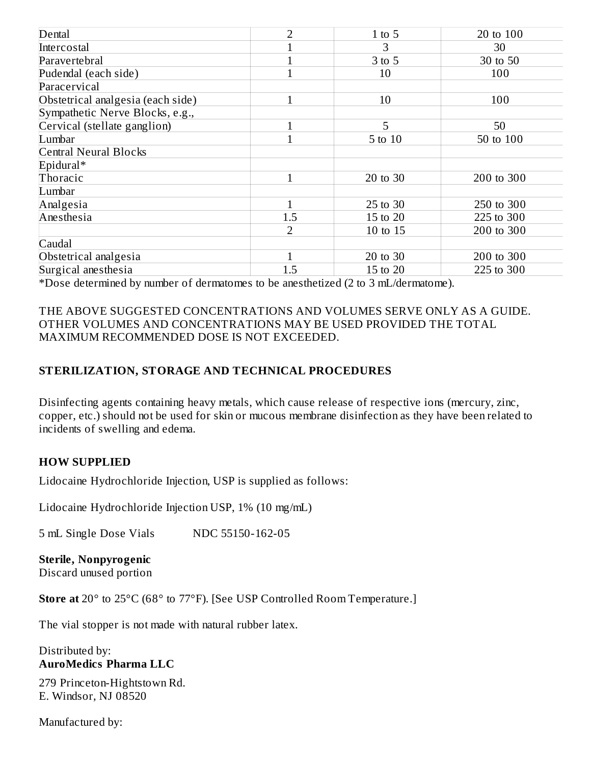| Dental                            | 2              | $1$ to $5$ | 20 to 100  |
|-----------------------------------|----------------|------------|------------|
| Intercostal                       |                | 3          | 30         |
| Paravertebral                     |                | 3 to 5     | 30 to 50   |
| Pudendal (each side)              | $\mathbf{1}$   | 10         | 100        |
| Paracervical                      |                |            |            |
| Obstetrical analgesia (each side) | $\mathbf 1$    | 10         | 100        |
| Sympathetic Nerve Blocks, e.g.,   |                |            |            |
| Cervical (stellate ganglion)      |                | 5          | 50         |
| Lumbar                            |                | 5 to 10    | 50 to 100  |
| <b>Central Neural Blocks</b>      |                |            |            |
| Epidural*                         |                |            |            |
| Thoracic                          | $\mathbf{1}$   | 20 to 30   | 200 to 300 |
| Lumbar                            |                |            |            |
| Analgesia                         |                | 25 to 30   | 250 to 300 |
| Anesthesia                        | 1.5            | 15 to 20   | 225 to 300 |
|                                   | $\overline{2}$ | 10 to 15   | 200 to 300 |
| Caudal                            |                |            |            |
| Obstetrical analgesia             |                | 20 to 30   | 200 to 300 |
| Surgical anesthesia               | 1.5            | 15 to 20   | 225 to 300 |

\*Dose determined by number of dermatomes to be anesthetized (2 to 3 mL/dermatome).

#### THE ABOVE SUGGESTED CONCENTRATIONS AND VOLUMES SERVE ONLY AS A GUIDE. OTHER VOLUMES AND CONCENTRATIONS MAY BE USED PROVIDED THE TOTAL MAXIMUM RECOMMENDED DOSE IS NOT EXCEEDED.

#### **STERILIZATION, STORAGE AND TECHNICAL PROCEDURES**

Disinfecting agents containing heavy metals, which cause release of respective ions (mercury, zinc, copper, etc.) should not be used for skin or mucous membrane disinfection as they have been related to incidents of swelling and edema.

#### **HOW SUPPLIED**

Lidocaine Hydrochloride Injection, USP is supplied as follows:

Lidocaine Hydrochloride Injection USP, 1% (10 mg/mL)

5 mL Single Dose Vials NDC 55150-162-05

# **Sterile, Nonpyrogenic**

Discard unused portion

**Store at** 20° to 25°C (68° to 77°F). [See USP Controlled Room Temperature.]

The vial stopper is not made with natural rubber latex.

#### Distributed by: **AuroMedics Pharma LLC**

279 Princeton-Hightstown Rd. E. Windsor, NJ 08520

Manufactured by: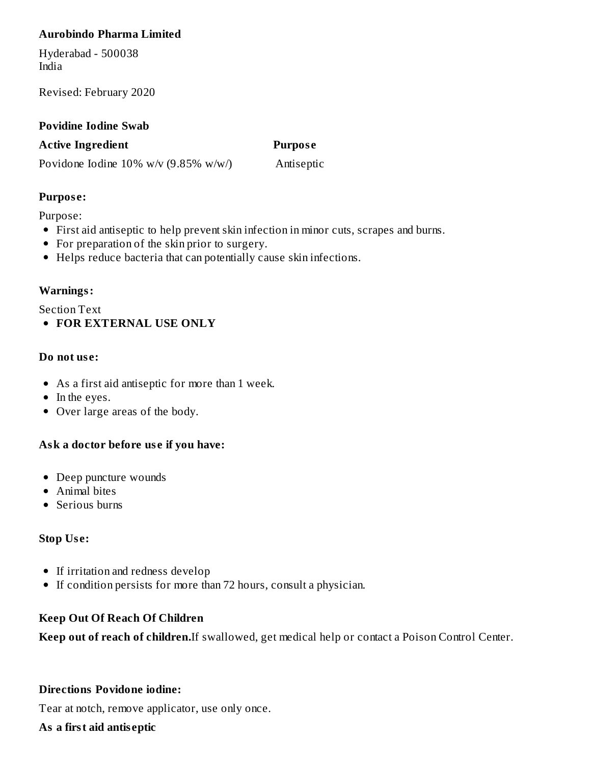# **Aurobindo Pharma Limited**

Hyderabad - 500038 India

Revised: February 2020

#### **Povidine Iodine Swab**

#### **Active Ingredient Purpos e**

Povidone Iodine 10% w/v (9.85% w/w/) Antiseptic

#### **Purpos e:**

Purpose:

- First aid antiseptic to help prevent skin infection in minor cuts, scrapes and burns.
- For preparation of the skin prior to surgery.
- Helps reduce bacteria that can potentially cause skin infections.

#### **Warnings:**

Section Text

**FOR EXTERNAL USE ONLY**

#### **Do not us e:**

- As a first aid antiseptic for more than 1 week.
- In the eyes.
- Over large areas of the body.

# **Ask a doctor before us e if you have:**

- Deep puncture wounds
- Animal bites
- Serious burns

# **Stop Us e:**

- If irritation and redness develop
- If condition persists for more than 72 hours, consult a physician.

# **Keep Out Of Reach Of Children**

**Keep out of reach of children.**If swallowed, get medical help or contact a Poison Control Center.

#### **Directions Povidone iodine:**

Tear at notch, remove applicator, use only once.

#### **As a first aid antis eptic**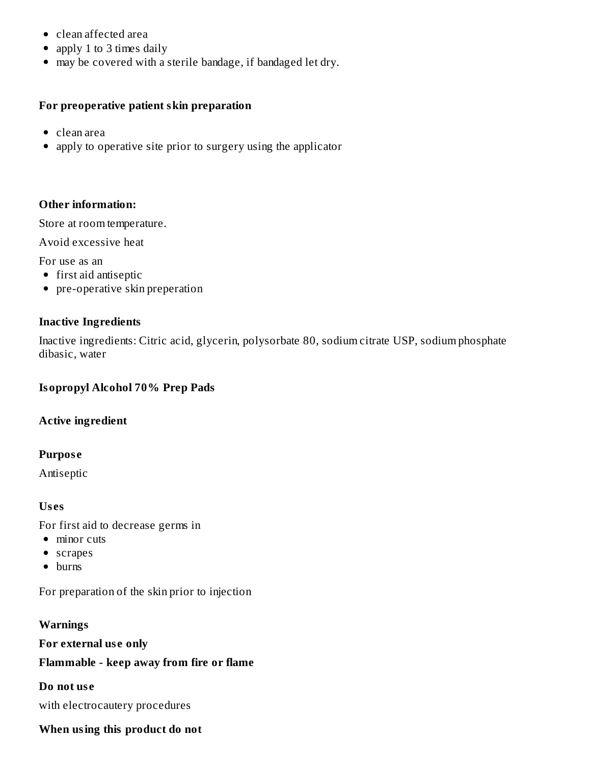- clean affected area
- apply 1 to 3 times daily
- may be covered with a sterile bandage, if bandaged let dry.

#### **For preoperative patient skin preparation**

- clean area
- apply to operative site prior to surgery using the applicator

#### **Other information:**

Store at room temperature.

Avoid excessive heat

For use as an

- first aid antiseptic
- pre-operative skin preperation

#### **Inactive Ingredients**

Inactive ingredients: Citric acid, glycerin, polysorbate 80, sodium citrate USP, sodium phosphate dibasic, water

#### **Isopropyl Alcohol 70% Prep Pads**

#### **Active ingredient**

#### **Purpos e**

Antiseptic

#### **Us es**

For first aid to decrease germs in

- minor cuts
- scrapes
- burns

For preparation of the skin prior to injection

#### **Warnings**

**For external us e only**

#### **Flammable - keep away from fire or flame**

#### **Do not us e**

with electrocautery procedures

# **When using this product do not**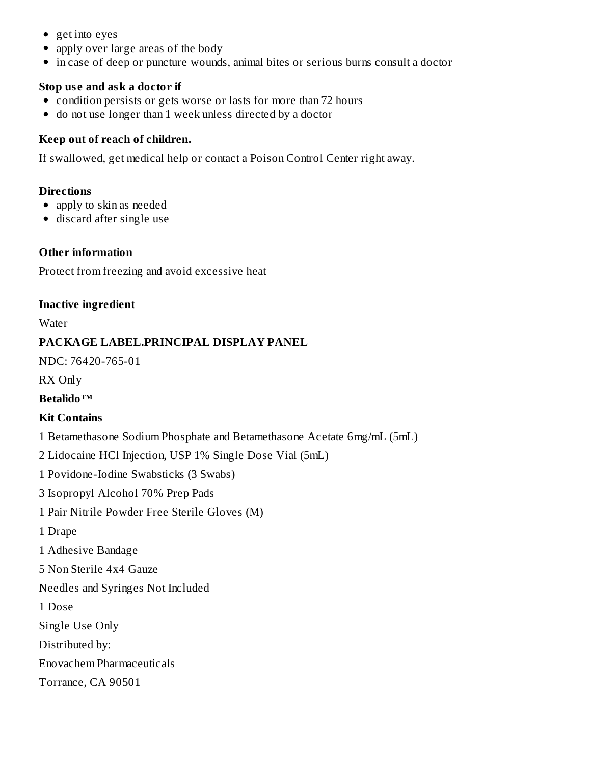- get into eyes
- apply over large areas of the body
- in case of deep or puncture wounds, animal bites or serious burns consult a doctor

#### **Stop us e and ask a doctor if**

- condition persists or gets worse or lasts for more than 72 hours
- do not use longer than 1 week unless directed by a doctor

### **Keep out of reach of children.**

If swallowed, get medical help or contact a Poison Control Center right away.

#### **Directions**

- apply to skin as needed
- discard after single use

### **Other information**

Protect from freezing and avoid excessive heat

### **Inactive ingredient**

Water

# **PACKAGE LABEL.PRINCIPAL DISPLAY PANEL**

NDC: 76420-765-01

RX Only

**Betalido™**

#### **Kit Contains**

1 Betamethasone Sodium Phosphate and Betamethasone Acetate 6mg/mL (5mL)

2 Lidocaine HCl Injection, USP 1% Single Dose Vial (5mL)

1 Povidone-Iodine Swabsticks (3 Swabs)

3 Isopropyl Alcohol 70% Prep Pads

1 Pair Nitrile Powder Free Sterile Gloves (M)

1 Drape

1 Adhesive Bandage

5 Non Sterile 4x4 Gauze

Needles and Syringes Not Included

1 Dose

Single Use Only

Distributed by:

Enovachem Pharmaceuticals

Torrance, CA 90501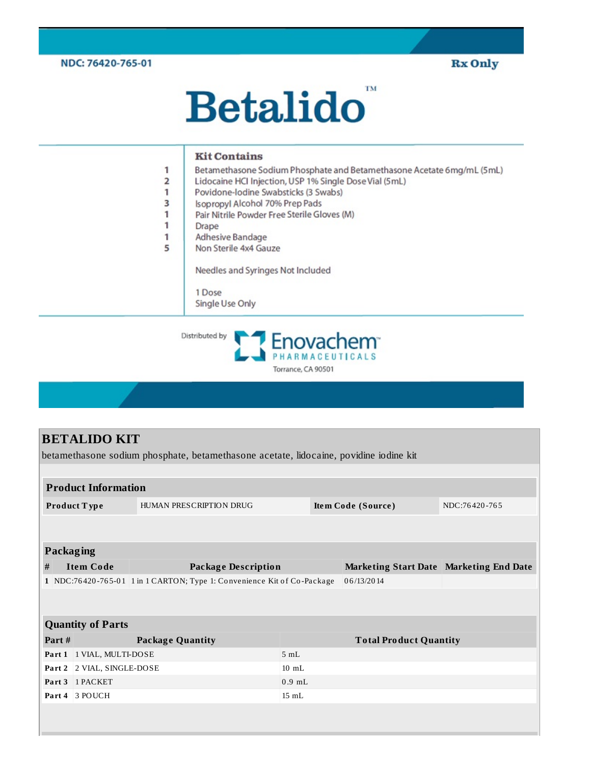NDC: 76420-765-01



# TM **Betalido**

#### **Kit Contains**

- Betamethasone Sodium Phosphate and Betamethasone Acetate 6mg/mL (5mL)
- Lidocaine HCI Injection, USP 1% Single Dose Vial (5mL)
- Povidone-lodine Swabsticks (3 Swabs)
- 3 Isopropyl Alcohol 70% Prep Pads
- 1 Pair Nitrile Powder Free Sterile Gloves (M)
- 1 Drape

1

 $\overline{\mathbf{2}}$ 

 $\mathbf{1}$ 

1

- Adhesive Bandage
- 5 Non Sterile 4x4 Gauze

Needles and Syringes Not Included

1 Dose Single Use Only



# **BETALIDO KIT** betamethasone sodium phosphate, betamethasone acetate, lidocaine, povidine iodine kit **Product Information Product Type HUMAN PRESCRIPTION DRUG Item Code (Source) NDC:76420-765 Packaging # Item Code Package Description Marketing Start Date Marketing End Date 1** NDC:76 420 -76 5-0 1 1 in 1 CARTON; Type 1: Co nvenience Kit o f Co -Package 0 6 /13/20 14 **Quantity of Parts Part # Package Quantity Total Product Quantity Part 1** 1 VIAL, MULTI-DOSE 5 mL **Part 2** 2 VIAL, SINGLE-DOSE 10 mL **Pa rt 3** 1 PACKET 0 .9 mL **Part 4** 3 POUCH 15 mL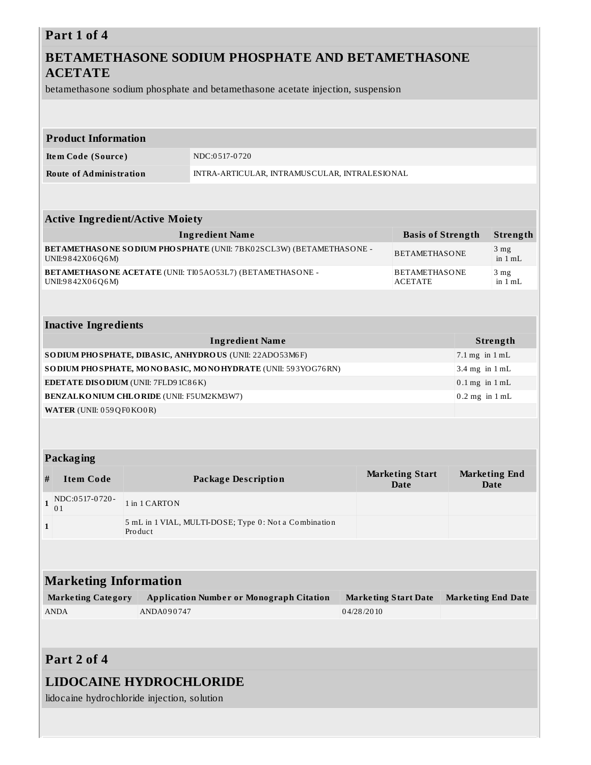# **Part 1 of 4**

# **BETAMETHASONE SODIUM PHOSPHATE AND BETAMETHASONE ACETATE**

betamethasone sodium phosphate and betamethasone acetate injection, suspension

| <b>Product Information</b>     |                                               |
|--------------------------------|-----------------------------------------------|
| Item Code (Source)             | NDC:0517-0720                                 |
| <b>Route of Administration</b> | INTRA-ARTICULAR, INTRAMUSCULAR, INTRALESIONAL |

#### **Active Ingredient/Active Moiety**

| Ingredient Name                                                                        | <b>Basis of Strength</b>               | Strength                     |
|----------------------------------------------------------------------------------------|----------------------------------------|------------------------------|
| BETAMETHASONE SODIUM PHOSPHATE (UNII: 7BK02SCL3W) (BETAMETHASONE -<br>UNII:9842X06Q6M) | <b>BETAMETHASONE</b>                   | 3 <sub>mg</sub><br>in 1 mL   |
| <b>BETAMETHASONE ACETATE (UNII: TI05AO53L7) (BETAMETHASONE -</b><br>UNII:9842X06Q6M)   | <b>BETAMETHASONE</b><br><b>ACETATE</b> | 3 <sub>mg</sub><br>in $1 mL$ |

## **Inactive Ingredients**

| <b>Ingredient Name</b>                                              | Strength                                 |
|---------------------------------------------------------------------|------------------------------------------|
| SO DIUM PHO SPHATE, DIBASIC, ANHYDRO US (UNII: 22ADO 53M6F)         | $7.1 \,\mathrm{mg}$ in $1 \,\mathrm{mL}$ |
| <b>SODIUM PHO SPHATE, MONOBASIC, MONOHYDRATE (UNII: 593YOG76RN)</b> | $3.4 \text{ mg}$ in $1 \text{ mL}$       |
| <b>EDETATE DISO DIUM (UNII: 7FLD91C86K)</b>                         | $0.1 \,\mathrm{mg}$ in $1 \,\mathrm{mL}$ |
| <b>BENZALKONIUM CHLORIDE</b> (UNII: F5UM2KM3W7)                     | $0.2$ mg in $1$ mL                       |
| <b>WATER (UNII: 059 QF0 KO0 R)</b>                                  |                                          |

#### **Packaging**

|                | Item Code     | <b>Package Description</b>                            | <b>Marketing Start</b><br><b>Date</b> | <b>Marketing End</b><br><b>Date</b> |
|----------------|---------------|-------------------------------------------------------|---------------------------------------|-------------------------------------|
| NDC:0517-0720- | 1 in 1 CARTON |                                                       |                                       |                                     |
|                | Product       | 5 mL in 1 VIAL, MULTI-DOSE; Type 0: Not a Combination |                                       |                                     |

# **Marketing Information**

| <b>Marketing Category</b> | <b>Application Number or Monograph Citation</b> | Marketing Start Date | <b>Marketing End Date</b> |
|---------------------------|-------------------------------------------------|----------------------|---------------------------|
| <b>ANDA</b>               | ANDA090747                                      | 04/28/2010           |                           |

# **Part 2 of 4**

# **LIDOCAINE HYDROCHLORIDE**

lidocaine hydrochloride injection, solution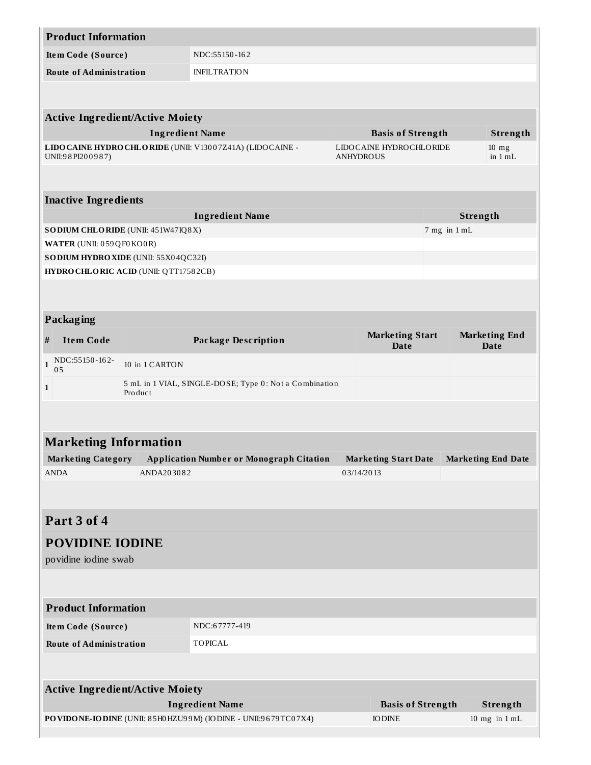| <b>Product Information</b>                                          |                        |                                                                    |                                       |              |          |                                     |
|---------------------------------------------------------------------|------------------------|--------------------------------------------------------------------|---------------------------------------|--------------|----------|-------------------------------------|
| Item Code (Source)                                                  |                        | NDC:55150-162                                                      |                                       |              |          |                                     |
| <b>Route of Administration</b>                                      |                        | <b>INFILTRATION</b>                                                |                                       |              |          |                                     |
|                                                                     |                        |                                                                    |                                       |              |          |                                     |
| <b>Active Ingredient/Active Moiety</b>                              |                        |                                                                    |                                       |              |          |                                     |
|                                                                     | <b>Ingredient Name</b> |                                                                    | <b>Basis of Strength</b>              |              |          | Strength                            |
|                                                                     |                        | LIDO CAINE HYDRO CHLO RIDE (UNII: V13007Z41A) (LIDO CAINE -        | LIDOCAINE HYDROCHLORIDE               |              |          | $10$ mg                             |
| UNII:98PI200987)                                                    |                        |                                                                    | <b>ANHYDROUS</b>                      |              |          | in $1 mL$                           |
|                                                                     |                        |                                                                    |                                       |              |          |                                     |
| <b>Inactive Ingredients</b>                                         |                        |                                                                    |                                       |              |          |                                     |
|                                                                     |                        | <b>Ingredient Name</b>                                             |                                       |              | Strength |                                     |
| SODIUM CHLORIDE (UNII: 451W47IQ8X)                                  |                        |                                                                    |                                       | 7 mg in 1 mL |          |                                     |
| WATER (UNII: 059 QF0 KO0 R)<br>SODIUM HYDRO XIDE (UNII: 55X04QC32I) |                        |                                                                    |                                       |              |          |                                     |
| HYDRO CHLORIC ACID (UNII: QTT17582CB)                               |                        |                                                                    |                                       |              |          |                                     |
|                                                                     |                        |                                                                    |                                       |              |          |                                     |
|                                                                     |                        |                                                                    |                                       |              |          |                                     |
| Packaging                                                           |                        |                                                                    |                                       |              |          |                                     |
| <b>Item Code</b><br>#                                               |                        | <b>Package Description</b>                                         | <b>Marketing Start</b><br><b>Date</b> |              |          | <b>Marketing End</b><br><b>Date</b> |
| NDC:55150-162-<br>$\mathbf{1}$<br>05                                | 10 in 1 CARTON         |                                                                    |                                       |              |          |                                     |
| $\mathbf{1}$                                                        | Product                | 5 mL in 1 VIAL, SINGLE-DOSE; Type 0: Not a Combination             |                                       |              |          |                                     |
|                                                                     |                        |                                                                    |                                       |              |          |                                     |
|                                                                     |                        |                                                                    |                                       |              |          |                                     |
| <b>Marketing Information</b>                                        |                        |                                                                    |                                       |              |          |                                     |
| <b>Marketing Category</b>                                           |                        | <b>Application Number or Monograph Citation</b>                    | <b>Marketing Start Date</b>           |              |          | <b>Marketing End Date</b>           |
| <b>ANDA</b>                                                         | ANDA203082             |                                                                    | 03/14/2013                            |              |          |                                     |
|                                                                     |                        |                                                                    |                                       |              |          |                                     |
| Part 3 of 4                                                         |                        |                                                                    |                                       |              |          |                                     |
| <b>POVIDINE IODINE</b>                                              |                        |                                                                    |                                       |              |          |                                     |
| povidine iodine swab                                                |                        |                                                                    |                                       |              |          |                                     |
|                                                                     |                        |                                                                    |                                       |              |          |                                     |
|                                                                     |                        |                                                                    |                                       |              |          |                                     |
| <b>Product Information</b>                                          |                        |                                                                    |                                       |              |          |                                     |
| Item Code (Source)                                                  |                        | NDC:67777-419                                                      |                                       |              |          |                                     |
| <b>Route of Administration</b>                                      |                        | <b>TOPICAL</b>                                                     |                                       |              |          |                                     |
|                                                                     |                        |                                                                    |                                       |              |          |                                     |
| <b>Active Ingredient/Active Moiety</b>                              |                        |                                                                    |                                       |              |          |                                     |
|                                                                     |                        | <b>Ingredient Name</b>                                             | <b>Basis of Strength</b>              |              |          | Strength                            |
|                                                                     |                        | PO VIDO NE-IO DINE (UNII: 85H0 HZU99M) (IO DINE - UNII:9679TC07X4) | <b>IODINE</b>                         |              |          | $10$ mg in $1$ mL                   |
|                                                                     |                        |                                                                    |                                       |              |          |                                     |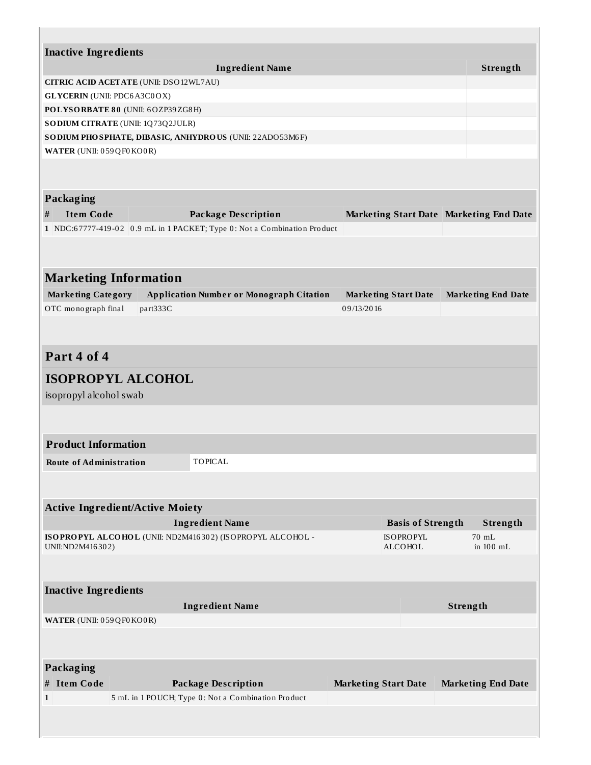| <b>Inactive Ingredients</b>                             |                                               |                                                                          |            |                             |                           |                                         |  |  |
|---------------------------------------------------------|-----------------------------------------------|--------------------------------------------------------------------------|------------|-----------------------------|---------------------------|-----------------------------------------|--|--|
| <b>Ingredient Name</b>                                  |                                               |                                                                          |            |                             |                           |                                         |  |  |
|                                                         | <b>CITRIC ACID ACETATE (UNII: DSO12WL7AU)</b> |                                                                          |            |                             |                           |                                         |  |  |
| <b>GLYCERIN</b> (UNII: PDC6A3C0OX)                      |                                               |                                                                          |            |                             |                           |                                         |  |  |
| POLYSORBATE 80 (UNII: 6OZP39ZG8H)                       |                                               |                                                                          |            |                             |                           |                                         |  |  |
| SODIUM CITRATE (UNII: 1Q73Q2JULR)                       |                                               |                                                                          |            |                             |                           |                                         |  |  |
| SODIUM PHOSPHATE, DIBASIC, ANHYDROUS (UNII: 22ADO53M6F) |                                               |                                                                          |            |                             |                           |                                         |  |  |
| WATER (UNII: 059QF0KO0R)                                |                                               |                                                                          |            |                             |                           |                                         |  |  |
|                                                         |                                               |                                                                          |            |                             |                           |                                         |  |  |
|                                                         |                                               |                                                                          |            |                             |                           |                                         |  |  |
|                                                         |                                               |                                                                          |            |                             |                           |                                         |  |  |
| Packaging                                               |                                               |                                                                          |            |                             |                           |                                         |  |  |
| <b>Item Code</b><br>#                                   |                                               | <b>Package Description</b>                                               |            |                             |                           | Marketing Start Date Marketing End Date |  |  |
|                                                         |                                               | 1 NDC:67777-419-02 0.9 mL in 1 PACKET; Type 0: Not a Combination Product |            |                             |                           |                                         |  |  |
|                                                         |                                               |                                                                          |            |                             |                           |                                         |  |  |
|                                                         |                                               |                                                                          |            |                             |                           |                                         |  |  |
|                                                         | <b>Marketing Information</b>                  |                                                                          |            |                             |                           |                                         |  |  |
| <b>Marketing Category</b>                               |                                               | <b>Application Number or Monograph Citation</b>                          |            | <b>Marketing Start Date</b> |                           |                                         |  |  |
| OTC monograph final                                     | part333C                                      |                                                                          | 09/13/2016 |                             | <b>Marketing End Date</b> |                                         |  |  |
|                                                         |                                               |                                                                          |            |                             |                           |                                         |  |  |
|                                                         |                                               |                                                                          |            |                             |                           |                                         |  |  |
|                                                         |                                               |                                                                          |            |                             |                           |                                         |  |  |
| Part 4 of 4                                             |                                               |                                                                          |            |                             |                           |                                         |  |  |
|                                                         |                                               |                                                                          |            |                             |                           |                                         |  |  |
| <b>ISOPROPYL ALCOHOL</b>                                |                                               |                                                                          |            |                             |                           |                                         |  |  |
| isopropyl alcohol swab                                  |                                               |                                                                          |            |                             |                           |                                         |  |  |
|                                                         |                                               |                                                                          |            |                             |                           |                                         |  |  |
|                                                         |                                               |                                                                          |            |                             |                           |                                         |  |  |
| <b>Product Information</b>                              |                                               |                                                                          |            |                             |                           |                                         |  |  |
| <b>Route of Administration</b>                          |                                               | <b>TOPICAL</b>                                                           |            |                             |                           |                                         |  |  |
|                                                         |                                               |                                                                          |            |                             |                           |                                         |  |  |
|                                                         |                                               |                                                                          |            |                             |                           |                                         |  |  |
|                                                         |                                               |                                                                          |            |                             |                           |                                         |  |  |
|                                                         | <b>Active Ingredient/Active Moiety</b>        |                                                                          |            |                             |                           |                                         |  |  |
|                                                         |                                               | <b>Ingredient Name</b>                                                   |            | <b>Basis of Strength</b>    |                           | <b>Strength</b>                         |  |  |
|                                                         |                                               | ISOPROPYL ALCOHOL (UNII: ND2M416302) (ISOPROPYL ALCOHOL -                |            | <b>ISOPROPYL</b>            |                           | 70 mL                                   |  |  |
| UNII:ND2M416302)                                        |                                               |                                                                          | ALCOHOL    |                             | in 100 mL                 |                                         |  |  |
|                                                         |                                               |                                                                          |            |                             |                           |                                         |  |  |
|                                                         |                                               |                                                                          |            |                             |                           |                                         |  |  |
| <b>Inactive Ingredients</b>                             |                                               |                                                                          |            |                             |                           |                                         |  |  |
| <b>Ingredient Name</b>                                  |                                               |                                                                          |            | Strength                    |                           |                                         |  |  |
| WATER (UNII: 059QF0KO0R)                                |                                               |                                                                          |            |                             |                           |                                         |  |  |
|                                                         |                                               |                                                                          |            |                             |                           |                                         |  |  |
|                                                         |                                               |                                                                          |            |                             |                           |                                         |  |  |
| <b>Packaging</b>                                        |                                               |                                                                          |            |                             |                           |                                         |  |  |
| <b>Item Code</b>                                        |                                               |                                                                          |            |                             |                           |                                         |  |  |
| #                                                       |                                               | <b>Package Description</b>                                               |            | <b>Marketing Start Date</b> |                           | <b>Marketing End Date</b>               |  |  |
| $\mathbf{1}$                                            |                                               | 5 mL in 1 POUCH; Type 0: Not a Combination Product                       |            |                             |                           |                                         |  |  |
|                                                         |                                               |                                                                          |            |                             |                           |                                         |  |  |
|                                                         |                                               |                                                                          |            |                             |                           |                                         |  |  |